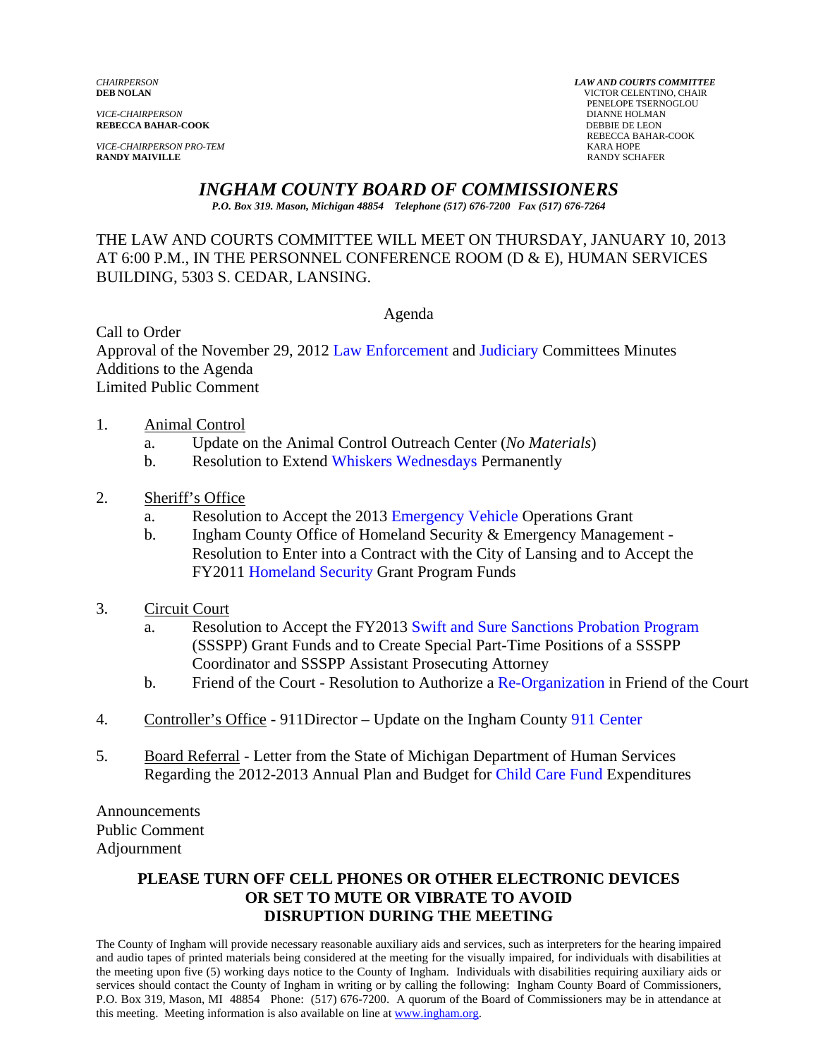*VICE-CHAIRPERSON* DIANNE HOLMAN **REBECCA BAHAR-COOK** 

*VICE-CHAIRPERSON PRO-TEM* KARA HOPE **RANDY MAIVILLE** RANDY SCHAFER

*CHAIRPERSON LAW AND COURTS COMMITTEE* **VICTOR CELENTINO, CHAIR PENELOPE TSERNOGLOU**<br>DIANNE HOLMAN REBECCA BAHAR-COOK

# *INGHAM COUNTY BOARD OF COMMISSIONERS*

*P.O. Box 319. Mason, Michigan 48854 Telephone (517) 676-7200 Fax (517) 676-7264*

# THE LAW AND COURTS COMMITTEE WILL MEET ON THURSDAY, JANUARY 10, 2013 AT 6:00 P.M., IN THE PERSONNEL CONFERENCE ROOM (D & E), HUMAN SERVICES BUILDING, 5303 S. CEDAR, LANSING.

Agenda

Call to Order Approval of the November 29, [2012 Law Enforcement an](#page-1-0)d [Judiciary Committees](#page-6-0) Minutes Additions to the Agenda Limited Public Comment

- 1. Animal Control
	- a. Update on the Animal Control Outreach Center (*No Materials*)
	- b. Resolution to Exten[d Whiskers Wednesdays Permane](#page-10-0)ntly
- 2. Sheriff's Office
	- a. Resolution to Accept the 20[13 Emergency Vehicle Operatio](#page-12-0)ns Grant
	- b. Ingham County Office of Homeland Security & Emergency Management Resolution to Enter into a Contract with the City of Lansing and to Accept the FY20[11 Homeland Security Gran](#page-14-0)t Program Funds
- 3. Circuit Court
	- a. Resolution to Accept the FY2013 [Swift and Sure Sanctions Probation Program](#page-16-0) (SSSPP) Grant Funds and to Create Special Part-Time Positions of a SSSPP Coordinator and SSSPP Assistant Prosecuting Attorney
	- b. Friend of the Court Resolution to Author[ize a Re-Organization in Friend o](#page-18-0)f the Court
- 4. Controller's Office 911Director Update on the Ingham Cou[nty 911 Center](#page-21-0)
- 5. Board Referral Letter from the State of Michigan Department of Human Services Regarding the 2012-2013 Annual Plan and Budg[et for Child Care Fund Expenditures](#page-23-0)

Announcements Public Comment Adjournment

#### **PLEASE TURN OFF CELL PHONES OR OTHER ELECTRONIC DEVICES OR SET TO MUTE OR VIBRATE TO AVOID DISRUPTION DURING THE MEETING**

The County of Ingham will provide necessary reasonable auxiliary aids and services, such as interpreters for the hearing impaired and audio tapes of printed materials being considered at the meeting for the visually impaired, for individuals with disabilities at the meeting upon five (5) working days notice to the County of Ingham. Individuals with disabilities requiring auxiliary aids or services should contact the County of Ingham in writing or by calling the following: Ingham County Board of Commissioners, P.O. Box 319, Mason, MI 48854 Phone: (517) 676-7200. A quorum of the Board of Commissioners may be in attendance at this meeting. Meeting information is also available on line at www.ingham.org.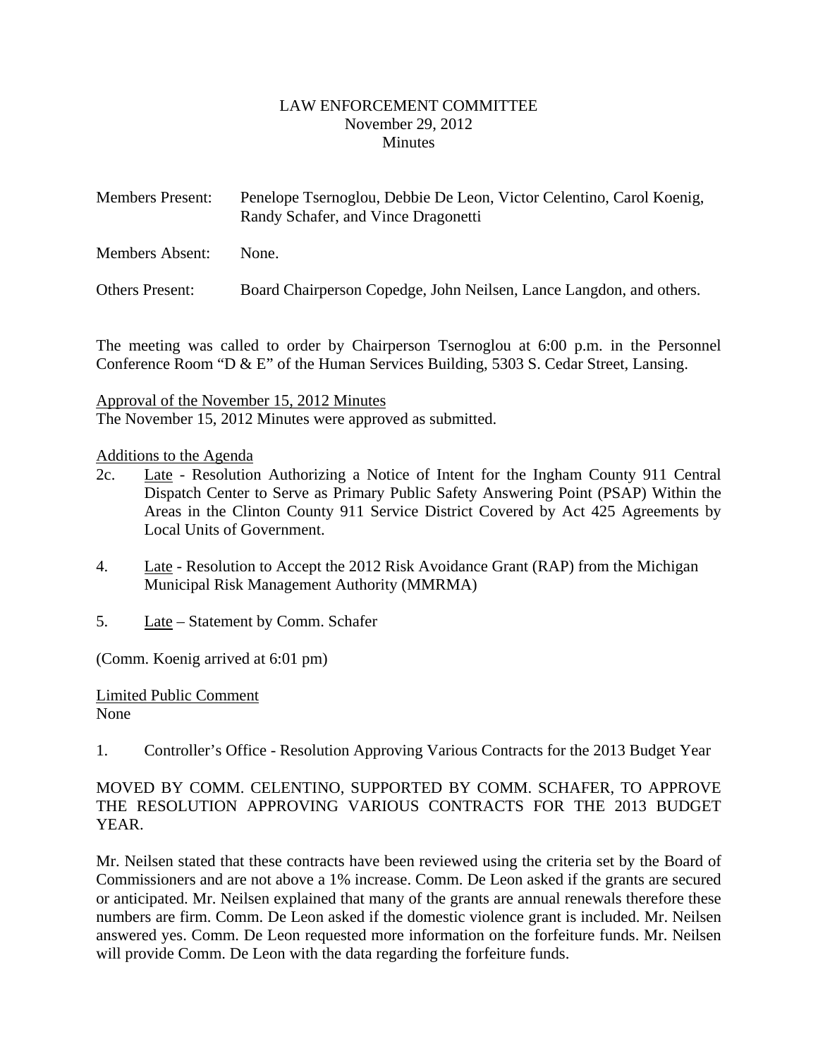#### LAW ENFORCEMENT COMMITTEE November 29, 2012 **Minutes**

<span id="page-1-0"></span>

| <b>Members Present:</b> | Penelope Tsernoglou, Debbie De Leon, Victor Celentino, Carol Koenig,<br>Randy Schafer, and Vince Dragonetti |
|-------------------------|-------------------------------------------------------------------------------------------------------------|
| Members Absent:         | None.                                                                                                       |

Others Present: Board Chairperson Copedge, John Neilsen, Lance Langdon, and others.

The meeting was called to order by Chairperson Tsernoglou at 6:00 p.m. in the Personnel Conference Room "D & E" of the Human Services Building, 5303 S. Cedar Street, Lansing.

Approval of the November 15, 2012 Minutes The November 15, 2012 Minutes were approved as submitted.

# Additions to the Agenda

- 2c. Late Resolution Authorizing a Notice of Intent for the Ingham County 911 Central Dispatch Center to Serve as Primary Public Safety Answering Point (PSAP) Within the Areas in the Clinton County 911 Service District Covered by Act 425 Agreements by Local Units of Government.
- 4. Late Resolution to Accept the 2012 Risk Avoidance Grant (RAP) from the Michigan Municipal Risk Management Authority (MMRMA)
- 5. Late Statement by Comm. Schafer

(Comm. Koenig arrived at 6:01 pm)

Limited Public Comment None

1. Controller's Office - Resolution Approving Various Contracts for the 2013 Budget Year

# MOVED BY COMM. CELENTINO, SUPPORTED BY COMM. SCHAFER, TO APPROVE THE RESOLUTION APPROVING VARIOUS CONTRACTS FOR THE 2013 BUDGET YEAR.

Mr. Neilsen stated that these contracts have been reviewed using the criteria set by the Board of Commissioners and are not above a 1% increase. Comm. De Leon asked if the grants are secured or anticipated. Mr. Neilsen explained that many of the grants are annual renewals therefore these numbers are firm. Comm. De Leon asked if the domestic violence grant is included. Mr. Neilsen answered yes. Comm. De Leon requested more information on the forfeiture funds. Mr. Neilsen will provide Comm. De Leon with the data regarding the forfeiture funds.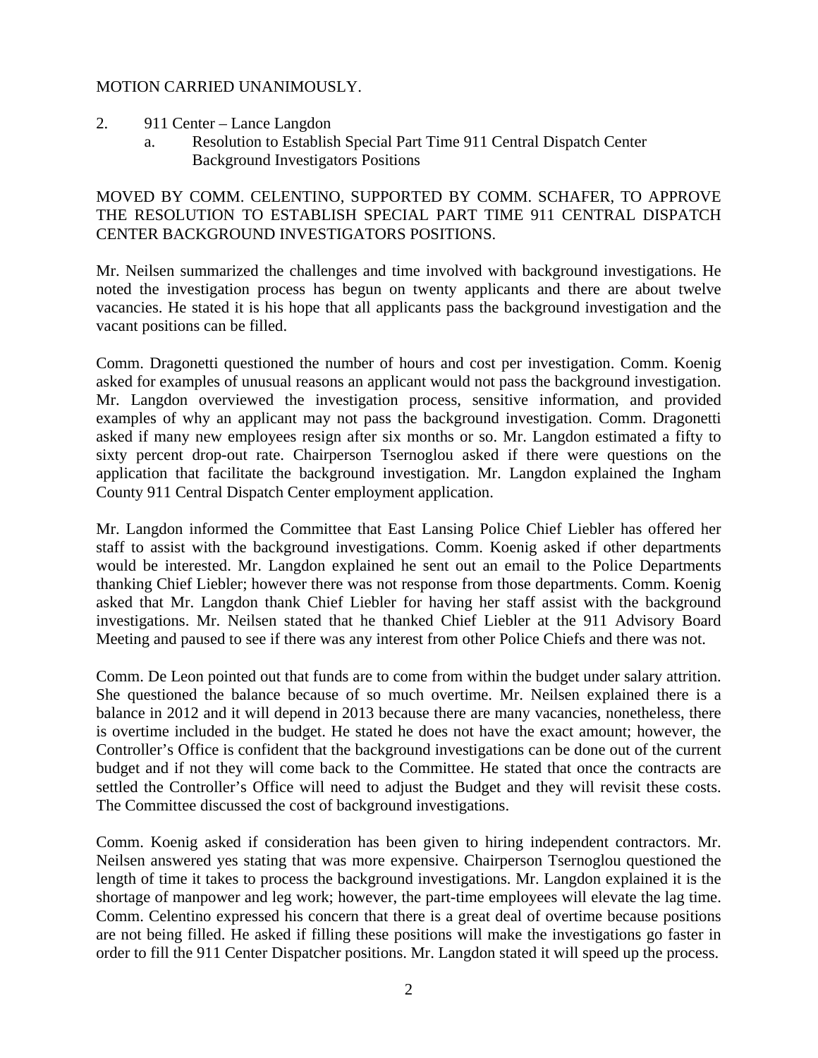#### MOTION CARRIED UNANIMOUSLY.

- 2. 911 Center Lance Langdon
	- a. Resolution to Establish Special Part Time 911 Central Dispatch Center Background Investigators Positions

## MOVED BY COMM. CELENTINO, SUPPORTED BY COMM. SCHAFER, TO APPROVE THE RESOLUTION TO ESTABLISH SPECIAL PART TIME 911 CENTRAL DISPATCH CENTER BACKGROUND INVESTIGATORS POSITIONS.

Mr. Neilsen summarized the challenges and time involved with background investigations. He noted the investigation process has begun on twenty applicants and there are about twelve vacancies. He stated it is his hope that all applicants pass the background investigation and the vacant positions can be filled.

Comm. Dragonetti questioned the number of hours and cost per investigation. Comm. Koenig asked for examples of unusual reasons an applicant would not pass the background investigation. Mr. Langdon overviewed the investigation process, sensitive information, and provided examples of why an applicant may not pass the background investigation. Comm. Dragonetti asked if many new employees resign after six months or so. Mr. Langdon estimated a fifty to sixty percent drop-out rate. Chairperson Tsernoglou asked if there were questions on the application that facilitate the background investigation. Mr. Langdon explained the Ingham County 911 Central Dispatch Center employment application.

Mr. Langdon informed the Committee that East Lansing Police Chief Liebler has offered her staff to assist with the background investigations. Comm. Koenig asked if other departments would be interested. Mr. Langdon explained he sent out an email to the Police Departments thanking Chief Liebler; however there was not response from those departments. Comm. Koenig asked that Mr. Langdon thank Chief Liebler for having her staff assist with the background investigations. Mr. Neilsen stated that he thanked Chief Liebler at the 911 Advisory Board Meeting and paused to see if there was any interest from other Police Chiefs and there was not.

Comm. De Leon pointed out that funds are to come from within the budget under salary attrition. She questioned the balance because of so much overtime. Mr. Neilsen explained there is a balance in 2012 and it will depend in 2013 because there are many vacancies, nonetheless, there is overtime included in the budget. He stated he does not have the exact amount; however, the Controller's Office is confident that the background investigations can be done out of the current budget and if not they will come back to the Committee. He stated that once the contracts are settled the Controller's Office will need to adjust the Budget and they will revisit these costs. The Committee discussed the cost of background investigations.

Comm. Koenig asked if consideration has been given to hiring independent contractors. Mr. Neilsen answered yes stating that was more expensive. Chairperson Tsernoglou questioned the length of time it takes to process the background investigations. Mr. Langdon explained it is the shortage of manpower and leg work; however, the part-time employees will elevate the lag time. Comm. Celentino expressed his concern that there is a great deal of overtime because positions are not being filled. He asked if filling these positions will make the investigations go faster in order to fill the 911 Center Dispatcher positions. Mr. Langdon stated it will speed up the process.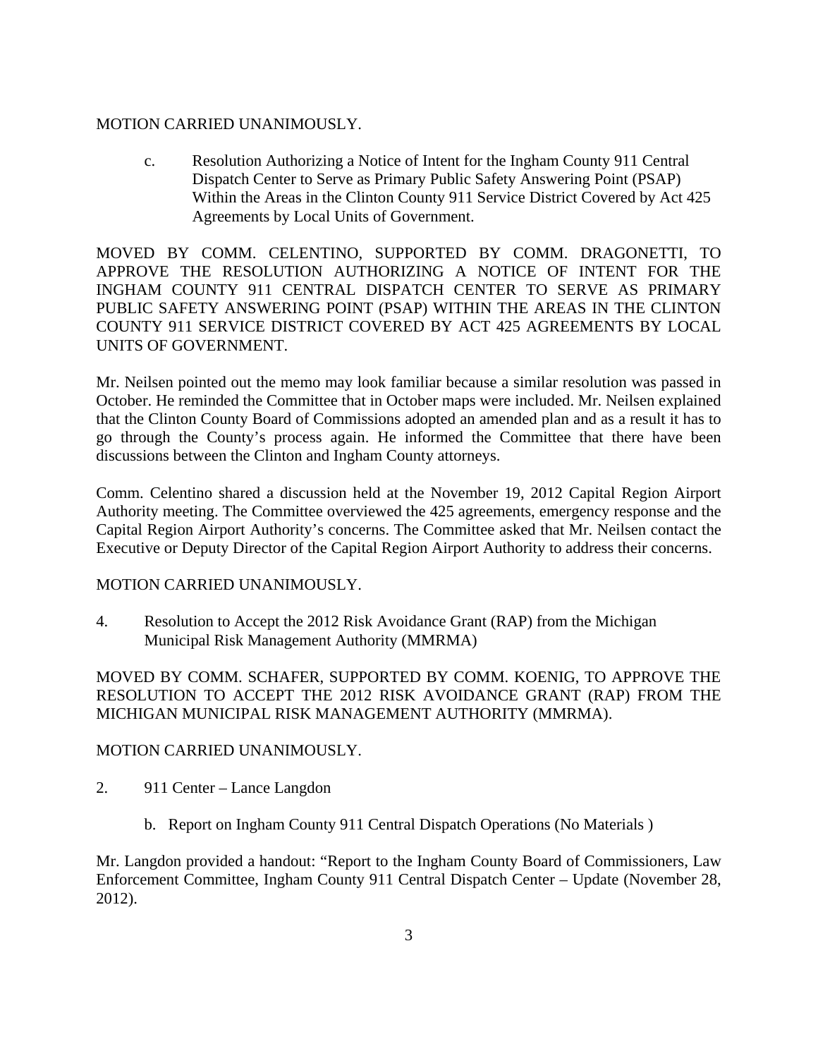#### MOTION CARRIED UNANIMOUSLY.

c. Resolution Authorizing a Notice of Intent for the Ingham County 911 Central Dispatch Center to Serve as Primary Public Safety Answering Point (PSAP) Within the Areas in the Clinton County 911 Service District Covered by Act 425 Agreements by Local Units of Government.

MOVED BY COMM. CELENTINO, SUPPORTED BY COMM. DRAGONETTI, TO APPROVE THE RESOLUTION AUTHORIZING A NOTICE OF INTENT FOR THE INGHAM COUNTY 911 CENTRAL DISPATCH CENTER TO SERVE AS PRIMARY PUBLIC SAFETY ANSWERING POINT (PSAP) WITHIN THE AREAS IN THE CLINTON COUNTY 911 SERVICE DISTRICT COVERED BY ACT 425 AGREEMENTS BY LOCAL UNITS OF GOVERNMENT.

Mr. Neilsen pointed out the memo may look familiar because a similar resolution was passed in October. He reminded the Committee that in October maps were included. Mr. Neilsen explained that the Clinton County Board of Commissions adopted an amended plan and as a result it has to go through the County's process again. He informed the Committee that there have been discussions between the Clinton and Ingham County attorneys.

Comm. Celentino shared a discussion held at the November 19, 2012 Capital Region Airport Authority meeting. The Committee overviewed the 425 agreements, emergency response and the Capital Region Airport Authority's concerns. The Committee asked that Mr. Neilsen contact the Executive or Deputy Director of the Capital Region Airport Authority to address their concerns.

#### MOTION CARRIED UNANIMOUSLY.

4. Resolution to Accept the 2012 Risk Avoidance Grant (RAP) from the Michigan Municipal Risk Management Authority (MMRMA)

MOVED BY COMM. SCHAFER, SUPPORTED BY COMM. KOENIG, TO APPROVE THE RESOLUTION TO ACCEPT THE 2012 RISK AVOIDANCE GRANT (RAP) FROM THE MICHIGAN MUNICIPAL RISK MANAGEMENT AUTHORITY (MMRMA).

#### MOTION CARRIED UNANIMOUSLY.

- 2. 911 Center Lance Langdon
	- b. Report on Ingham County 911 Central Dispatch Operations (No Materials )

Mr. Langdon provided a handout: "Report to the Ingham County Board of Commissioners, Law Enforcement Committee, Ingham County 911 Central Dispatch Center – Update (November 28, 2012).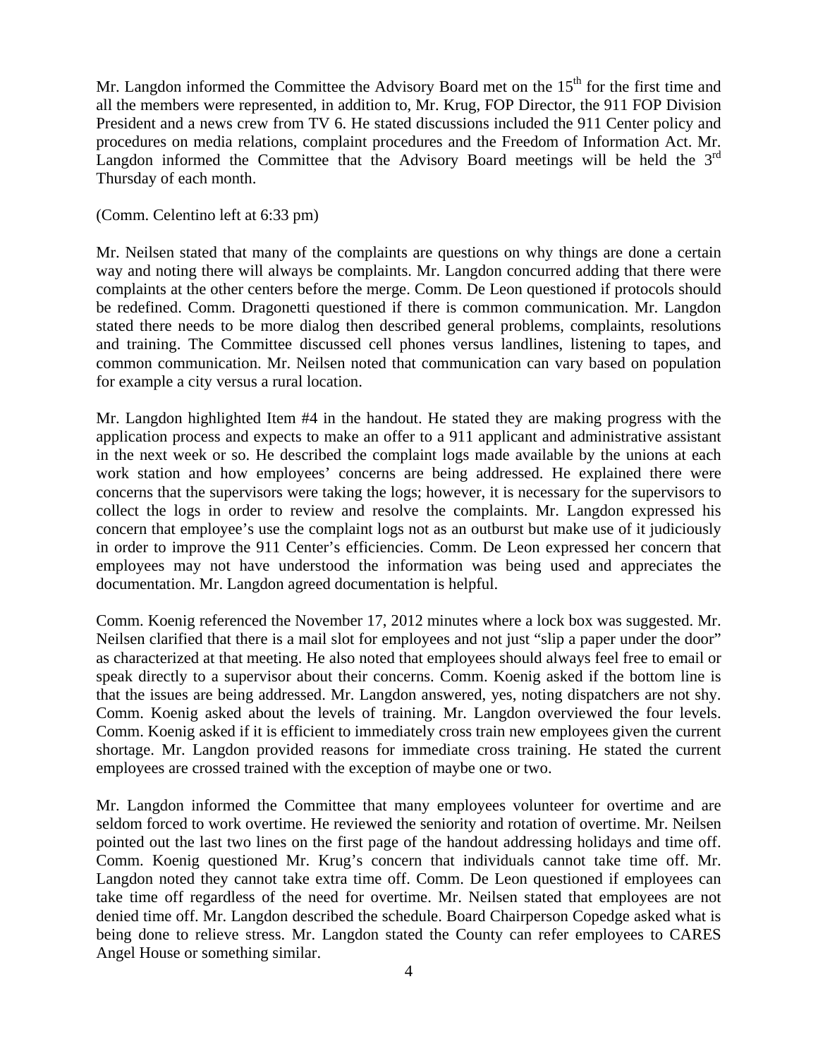Mr. Langdon informed the Committee the Advisory Board met on the  $15<sup>th</sup>$  for the first time and all the members were represented, in addition to, Mr. Krug, FOP Director, the 911 FOP Division President and a news crew from TV 6. He stated discussions included the 911 Center policy and procedures on media relations, complaint procedures and the Freedom of Information Act. Mr. Langdon informed the Committee that the Advisory Board meetings will be held the  $3<sup>rd</sup>$ Thursday of each month.

#### (Comm. Celentino left at 6:33 pm)

Mr. Neilsen stated that many of the complaints are questions on why things are done a certain way and noting there will always be complaints. Mr. Langdon concurred adding that there were complaints at the other centers before the merge. Comm. De Leon questioned if protocols should be redefined. Comm. Dragonetti questioned if there is common communication. Mr. Langdon stated there needs to be more dialog then described general problems, complaints, resolutions and training. The Committee discussed cell phones versus landlines, listening to tapes, and common communication. Mr. Neilsen noted that communication can vary based on population for example a city versus a rural location.

Mr. Langdon highlighted Item #4 in the handout. He stated they are making progress with the application process and expects to make an offer to a 911 applicant and administrative assistant in the next week or so. He described the complaint logs made available by the unions at each work station and how employees' concerns are being addressed. He explained there were concerns that the supervisors were taking the logs; however, it is necessary for the supervisors to collect the logs in order to review and resolve the complaints. Mr. Langdon expressed his concern that employee's use the complaint logs not as an outburst but make use of it judiciously in order to improve the 911 Center's efficiencies. Comm. De Leon expressed her concern that employees may not have understood the information was being used and appreciates the documentation. Mr. Langdon agreed documentation is helpful.

Comm. Koenig referenced the November 17, 2012 minutes where a lock box was suggested. Mr. Neilsen clarified that there is a mail slot for employees and not just "slip a paper under the door" as characterized at that meeting. He also noted that employees should always feel free to email or speak directly to a supervisor about their concerns. Comm. Koenig asked if the bottom line is that the issues are being addressed. Mr. Langdon answered, yes, noting dispatchers are not shy. Comm. Koenig asked about the levels of training. Mr. Langdon overviewed the four levels. Comm. Koenig asked if it is efficient to immediately cross train new employees given the current shortage. Mr. Langdon provided reasons for immediate cross training. He stated the current employees are crossed trained with the exception of maybe one or two.

Mr. Langdon informed the Committee that many employees volunteer for overtime and are seldom forced to work overtime. He reviewed the seniority and rotation of overtime. Mr. Neilsen pointed out the last two lines on the first page of the handout addressing holidays and time off. Comm. Koenig questioned Mr. Krug's concern that individuals cannot take time off. Mr. Langdon noted they cannot take extra time off. Comm. De Leon questioned if employees can take time off regardless of the need for overtime. Mr. Neilsen stated that employees are not denied time off. Mr. Langdon described the schedule. Board Chairperson Copedge asked what is being done to relieve stress. Mr. Langdon stated the County can refer employees to CARES Angel House or something similar.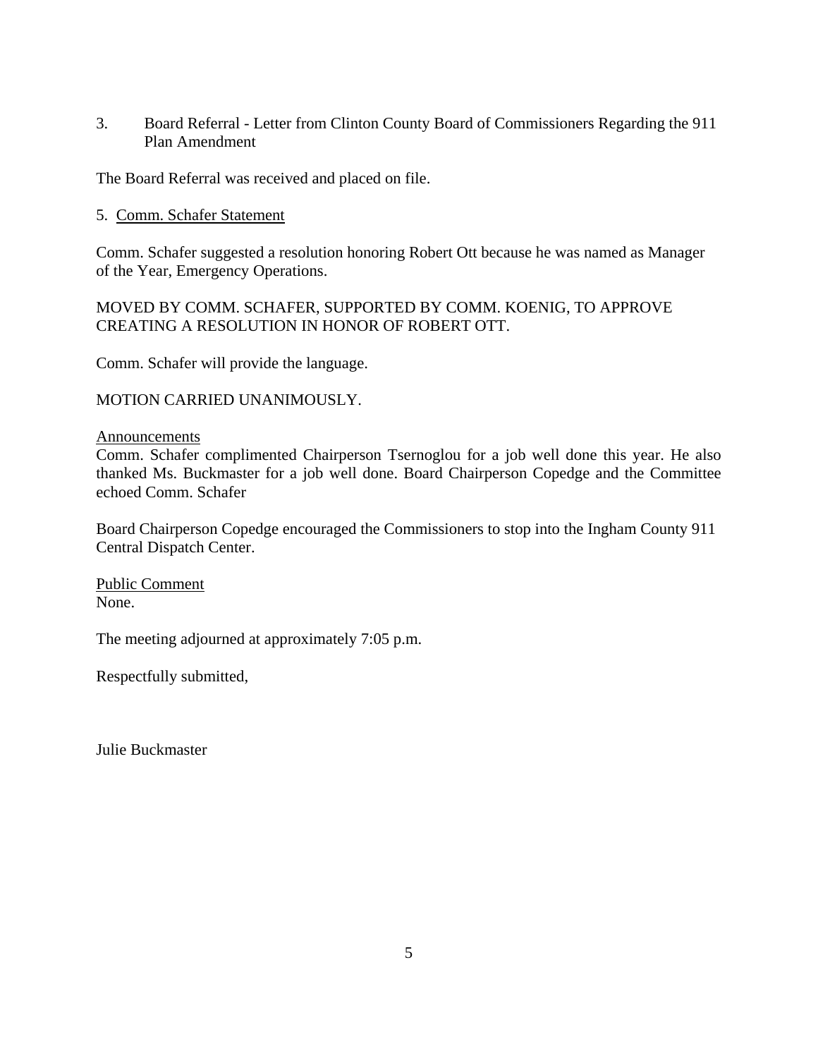3. Board Referral - Letter from Clinton County Board of Commissioners Regarding the 911 Plan Amendment

The Board Referral was received and placed on file.

#### 5. Comm. Schafer Statement

Comm. Schafer suggested a resolution honoring Robert Ott because he was named as Manager of the Year, Emergency Operations.

MOVED BY COMM. SCHAFER, SUPPORTED BY COMM. KOENIG, TO APPROVE CREATING A RESOLUTION IN HONOR OF ROBERT OTT.

Comm. Schafer will provide the language.

MOTION CARRIED UNANIMOUSLY.

#### Announcements

Comm. Schafer complimented Chairperson Tsernoglou for a job well done this year. He also thanked Ms. Buckmaster for a job well done. Board Chairperson Copedge and the Committee echoed Comm. Schafer

Board Chairperson Copedge encouraged the Commissioners to stop into the Ingham County 911 Central Dispatch Center.

Public Comment None.

The meeting adjourned at approximately 7:05 p.m.

Respectfully submitted,

Julie Buckmaster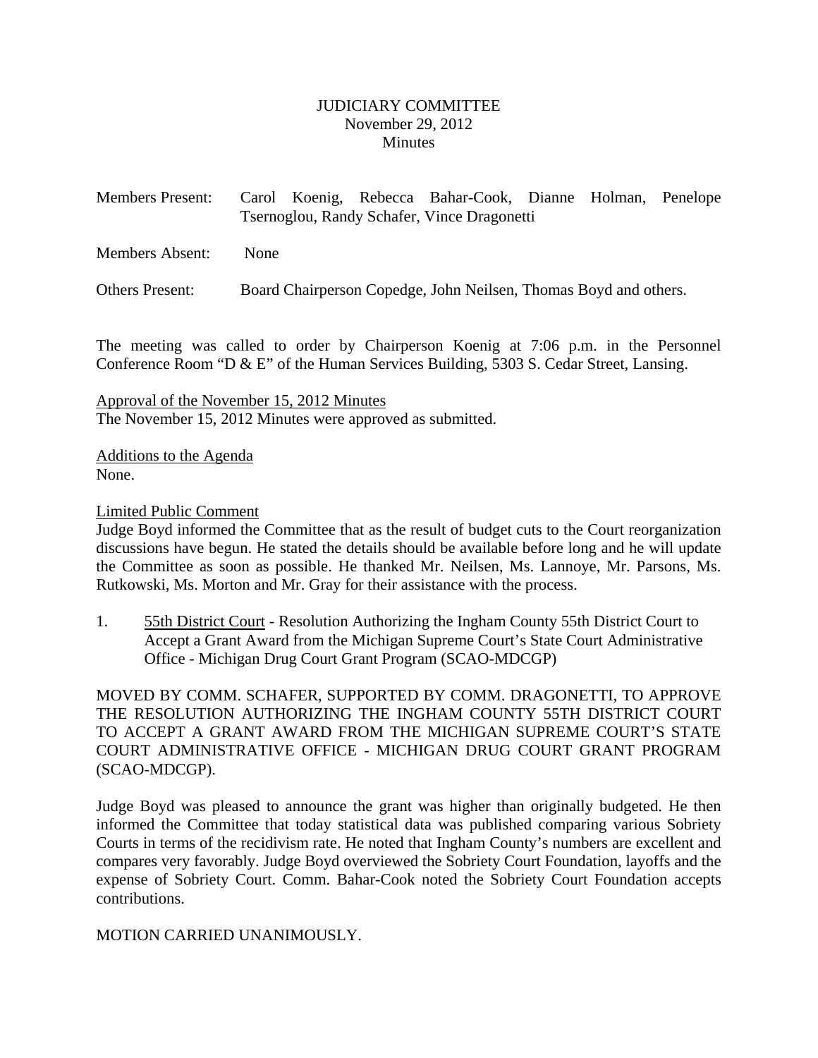#### JUDICIARY COMMITTEE November 29, 2012 **Minutes**

<span id="page-6-0"></span>

| <b>Members Present:</b> |                                             |  |  | Carol Koenig, Rebecca Bahar-Cook, Dianne Holman, Penelope |  |  |  |
|-------------------------|---------------------------------------------|--|--|-----------------------------------------------------------|--|--|--|
|                         | Tsernoglou, Randy Schafer, Vince Dragonetti |  |  |                                                           |  |  |  |
|                         |                                             |  |  |                                                           |  |  |  |

Members Absent: None

Others Present: Board Chairperson Copedge, John Neilsen, Thomas Boyd and others.

The meeting was called to order by Chairperson Koenig at 7:06 p.m. in the Personnel Conference Room "D & E" of the Human Services Building, 5303 S. Cedar Street, Lansing.

Approval of the November 15, 2012 Minutes The November 15, 2012 Minutes were approved as submitted.

Additions to the Agenda None.

#### Limited Public Comment

Judge Boyd informed the Committee that as the result of budget cuts to the Court reorganization discussions have begun. He stated the details should be available before long and he will update the Committee as soon as possible. He thanked Mr. Neilsen, Ms. Lannoye, Mr. Parsons, Ms. Rutkowski, Ms. Morton and Mr. Gray for their assistance with the process.

1. 55th District Court - Resolution Authorizing the Ingham County 55th District Court to Accept a Grant Award from the Michigan Supreme Court's State Court Administrative Office - Michigan Drug Court Grant Program (SCAO-MDCGP)

MOVED BY COMM. SCHAFER, SUPPORTED BY COMM. DRAGONETTI, TO APPROVE THE RESOLUTION AUTHORIZING THE INGHAM COUNTY 55TH DISTRICT COURT TO ACCEPT A GRANT AWARD FROM THE MICHIGAN SUPREME COURT'S STATE COURT ADMINISTRATIVE OFFICE - MICHIGAN DRUG COURT GRANT PROGRAM (SCAO-MDCGP).

Judge Boyd was pleased to announce the grant was higher than originally budgeted. He then informed the Committee that today statistical data was published comparing various Sobriety Courts in terms of the recidivism rate. He noted that Ingham County's numbers are excellent and compares very favorably. Judge Boyd overviewed the Sobriety Court Foundation, layoffs and the expense of Sobriety Court. Comm. Bahar-Cook noted the Sobriety Court Foundation accepts contributions.

#### MOTION CARRIED UNANIMOUSLY.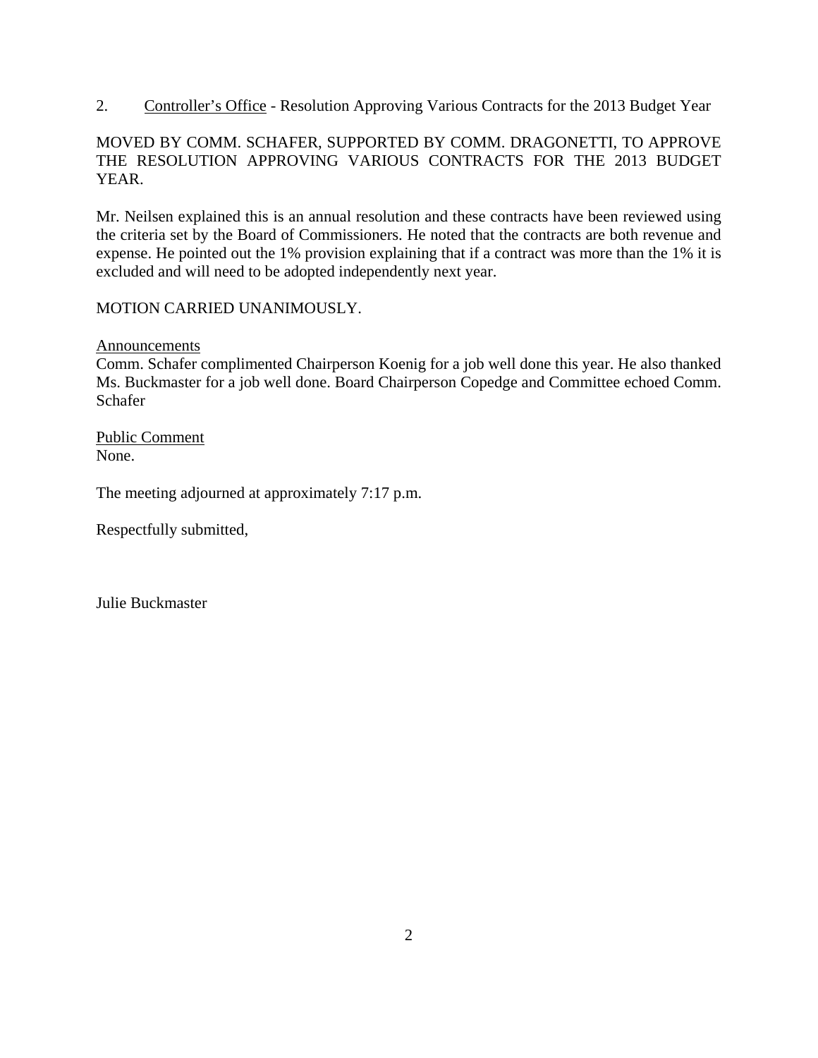2. Controller's Office - Resolution Approving Various Contracts for the 2013 Budget Year

# MOVED BY COMM. SCHAFER, SUPPORTED BY COMM. DRAGONETTI, TO APPROVE THE RESOLUTION APPROVING VARIOUS CONTRACTS FOR THE 2013 BUDGET YEAR.

Mr. Neilsen explained this is an annual resolution and these contracts have been reviewed using the criteria set by the Board of Commissioners. He noted that the contracts are both revenue and expense. He pointed out the 1% provision explaining that if a contract was more than the 1% it is excluded and will need to be adopted independently next year.

# MOTION CARRIED UNANIMOUSLY.

**Announcements** 

Comm. Schafer complimented Chairperson Koenig for a job well done this year. He also thanked Ms. Buckmaster for a job well done. Board Chairperson Copedge and Committee echoed Comm. Schafer

Public Comment None.

The meeting adjourned at approximately 7:17 p.m.

Respectfully submitted,

Julie Buckmaster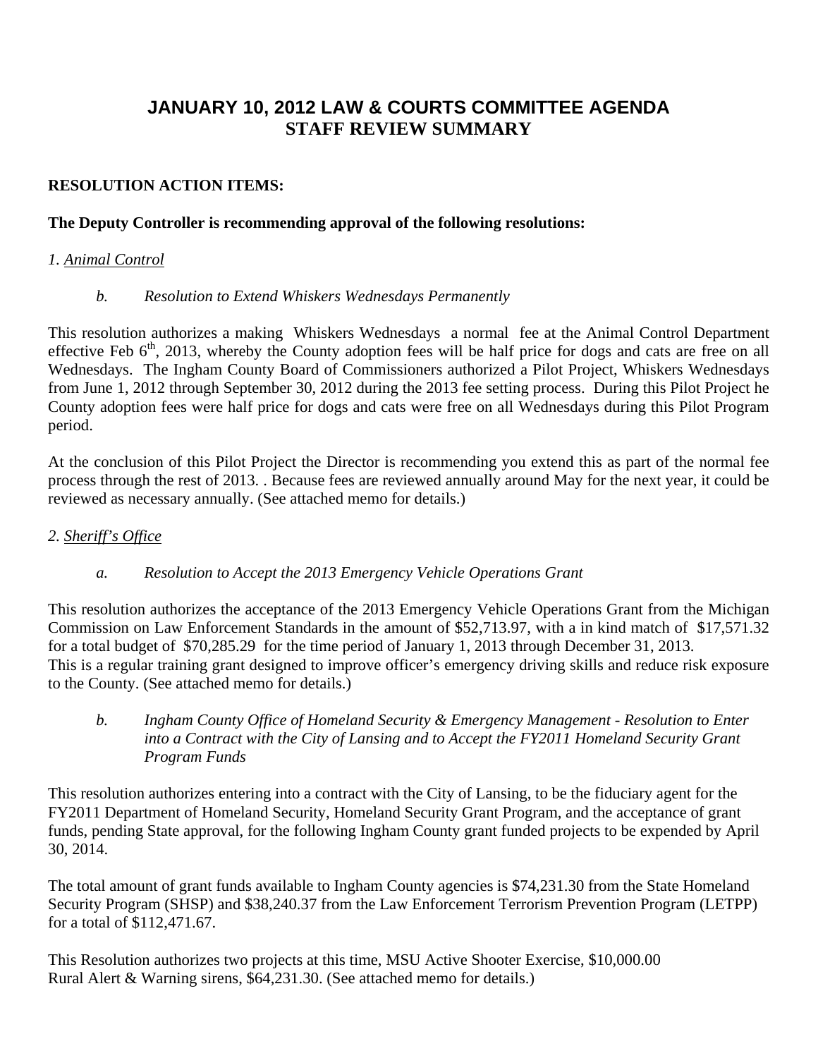# **JANUARY 10, 2012 LAW & COURTS COMMITTEE AGENDA STAFF REVIEW SUMMARY**

# **RESOLUTION ACTION ITEMS:**

# **The Deputy Controller is recommending approval of the following resolutions:**

# *1. Animal Control*

# *b. Resolution to Extend Whiskers Wednesdays Permanently*

This resolution authorizes a making Whiskers Wednesdays a normal fee at the Animal Control Department effective Feb  $6<sup>th</sup>$ , 2013, whereby the County adoption fees will be half price for dogs and cats are free on all Wednesdays. The Ingham County Board of Commissioners authorized a Pilot Project, Whiskers Wednesdays from June 1, 2012 through September 30, 2012 during the 2013 fee setting process. During this Pilot Project he County adoption fees were half price for dogs and cats were free on all Wednesdays during this Pilot Program period.

At the conclusion of this Pilot Project the Director is recommending you extend this as part of the normal fee process through the rest of 2013. . Because fees are reviewed annually around May for the next year, it could be reviewed as necessary annually. (See attached memo for details.)

# *2. Sheriff's Office*

# *a. Resolution to Accept the 2013 Emergency Vehicle Operations Grant*

This resolution authorizes the acceptance of the 2013 Emergency Vehicle Operations Grant from the Michigan Commission on Law Enforcement Standards in the amount of \$52,713.97, with a in kind match of \$17,571.32 for a total budget of \$70,285.29 for the time period of January 1, 2013 through December 31, 2013. This is a regular training grant designed to improve officer's emergency driving skills and reduce risk exposure to the County. (See attached memo for details.)

*b. Ingham County Office of Homeland Security & Emergency Management - Resolution to Enter into a Contract with the City of Lansing and to Accept the FY2011 Homeland Security Grant Program Funds* 

This resolution authorizes entering into a contract with the City of Lansing, to be the fiduciary agent for the FY2011 Department of Homeland Security, Homeland Security Grant Program, and the acceptance of grant funds, pending State approval, for the following Ingham County grant funded projects to be expended by April 30, 2014.

The total amount of grant funds available to Ingham County agencies is \$74,231.30 from the State Homeland Security Program (SHSP) and \$38,240.37 from the Law Enforcement Terrorism Prevention Program (LETPP) for a total of \$112,471.67.

This Resolution authorizes two projects at this time, MSU Active Shooter Exercise, \$10,000.00 Rural Alert & Warning sirens, \$64,231.30. (See attached memo for details.)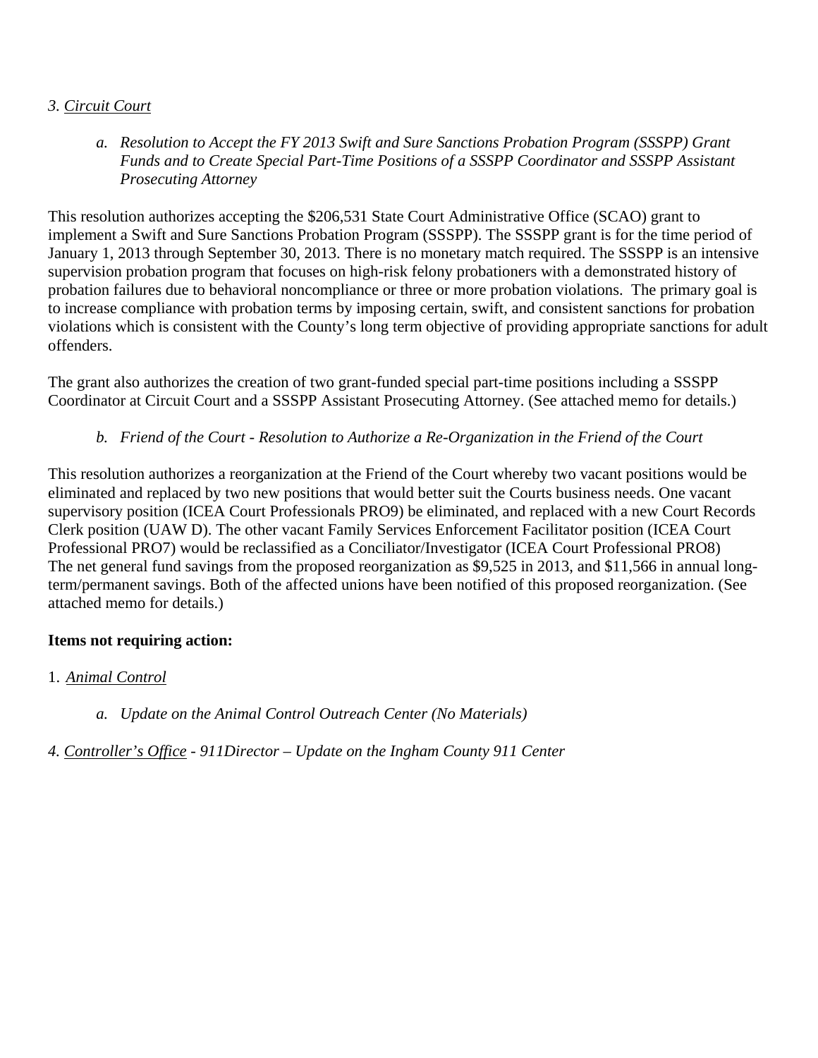# *3. Circuit Court*

*a. Resolution to Accept the FY 2013 Swift and Sure Sanctions Probation Program (SSSPP) Grant Funds and to Create Special Part-Time Positions of a SSSPP Coordinator and SSSPP Assistant Prosecuting Attorney* 

This resolution authorizes accepting the \$206,531 State Court Administrative Office (SCAO) grant to implement a Swift and Sure Sanctions Probation Program (SSSPP). The SSSPP grant is for the time period of January 1, 2013 through September 30, 2013. There is no monetary match required. The SSSPP is an intensive supervision probation program that focuses on high-risk felony probationers with a demonstrated history of probation failures due to behavioral noncompliance or three or more probation violations. The primary goal is to increase compliance with probation terms by imposing certain, swift, and consistent sanctions for probation violations which is consistent with the County's long term objective of providing appropriate sanctions for adult offenders.

The grant also authorizes the creation of two grant-funded special part-time positions including a SSSPP Coordinator at Circuit Court and a SSSPP Assistant Prosecuting Attorney. (See attached memo for details.)

*b. Friend of the Court - Resolution to Authorize a Re-Organization in the Friend of the Court* 

This resolution authorizes a reorganization at the Friend of the Court whereby two vacant positions would be eliminated and replaced by two new positions that would better suit the Courts business needs. One vacant supervisory position (ICEA Court Professionals PRO9) be eliminated, and replaced with a new Court Records Clerk position (UAW D). The other vacant Family Services Enforcement Facilitator position (ICEA Court Professional PRO7) would be reclassified as a Conciliator/Investigator (ICEA Court Professional PRO8) The net general fund savings from the proposed reorganization as \$9,525 in 2013, and \$11,566 in annual longterm/permanent savings. Both of the affected unions have been notified of this proposed reorganization. (See attached memo for details.)

# **Items not requiring action:**

- 1. *Animal Control* 
	- *a. Update on the Animal Control Outreach Center (No Materials)*

*4. Controller's Office - 911Director – Update on the Ingham County 911 Center*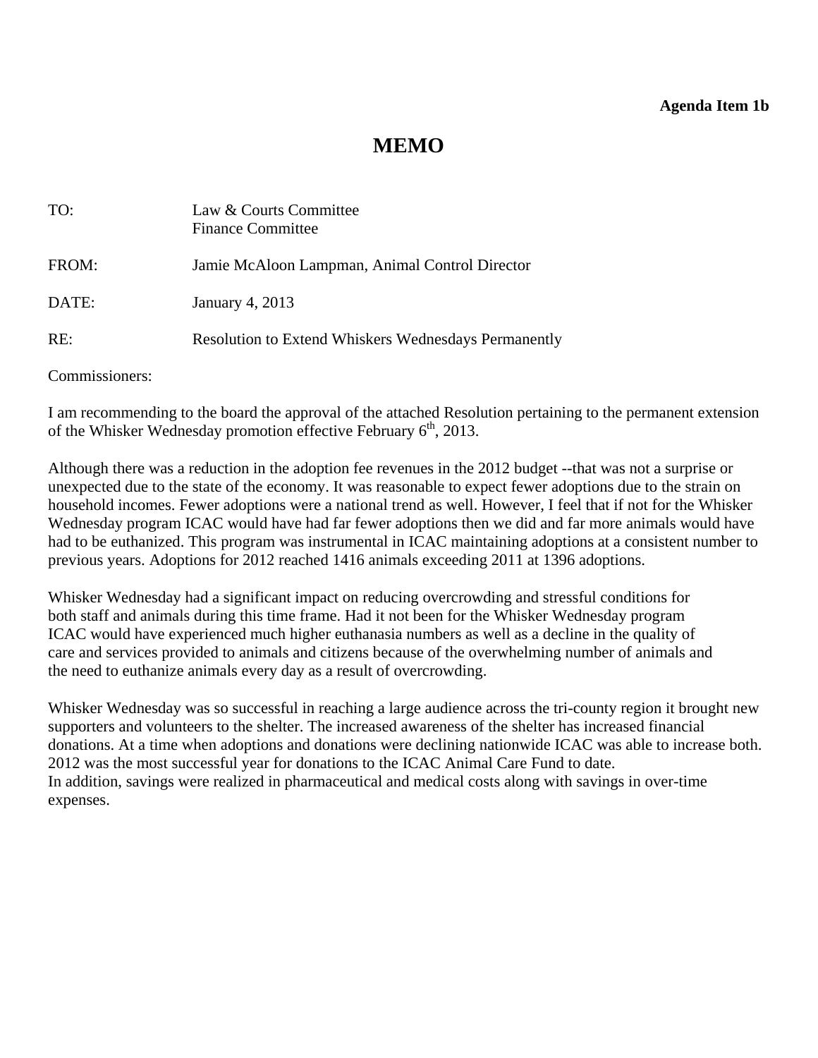# **MEMO**

<span id="page-10-0"></span>

| TO:   | Law & Courts Committee<br><b>Finance Committee</b>          |
|-------|-------------------------------------------------------------|
| FROM: | Jamie McAloon Lampman, Animal Control Director              |
| DATE: | January 4, 2013                                             |
| RE:   | <b>Resolution to Extend Whiskers Wednesdays Permanently</b> |

Commissioners:

I am recommending to the board the approval of the attached Resolution pertaining to the permanent extension of the Whisker Wednesday promotion effective February  $6<sup>th</sup>$ , 2013.

Although there was a reduction in the adoption fee revenues in the 2012 budget --that was not a surprise or unexpected due to the state of the economy. It was reasonable to expect fewer adoptions due to the strain on household incomes. Fewer adoptions were a national trend as well. However, I feel that if not for the Whisker Wednesday program ICAC would have had far fewer adoptions then we did and far more animals would have had to be euthanized. This program was instrumental in ICAC maintaining adoptions at a consistent number to previous years. Adoptions for 2012 reached 1416 animals exceeding 2011 at 1396 adoptions.

Whisker Wednesday had a significant impact on reducing overcrowding and stressful conditions for both staff and animals during this time frame. Had it not been for the Whisker Wednesday program ICAC would have experienced much higher euthanasia numbers as well as a decline in the quality of care and services provided to animals and citizens because of the overwhelming number of animals and the need to euthanize animals every day as a result of overcrowding.

Whisker Wednesday was so successful in reaching a large audience across the tri-county region it brought new supporters and volunteers to the shelter. The increased awareness of the shelter has increased financial donations. At a time when adoptions and donations were declining nationwide ICAC was able to increase both. 2012 was the most successful year for donations to the ICAC Animal Care Fund to date. In addition, savings were realized in pharmaceutical and medical costs along with savings in over-time expenses.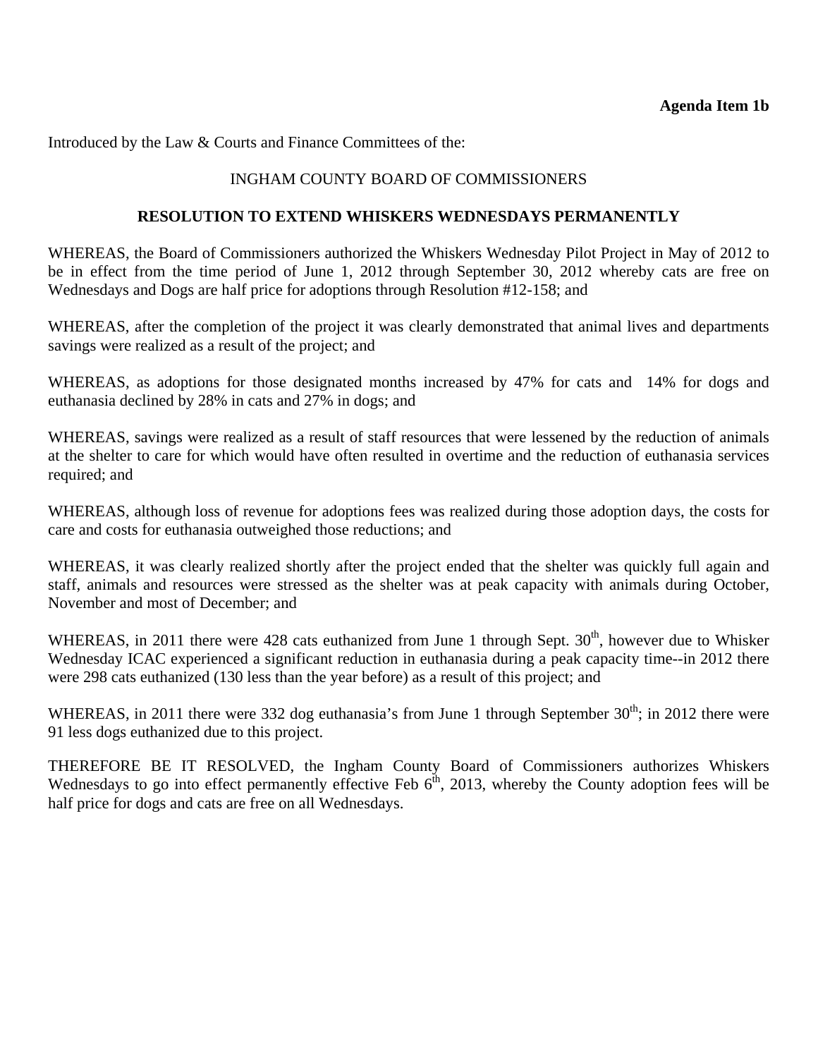Introduced by the Law & Courts and Finance Committees of the:

#### INGHAM COUNTY BOARD OF COMMISSIONERS

#### **RESOLUTION TO EXTEND WHISKERS WEDNESDAYS PERMANENTLY**

WHEREAS, the Board of Commissioners authorized the Whiskers Wednesday Pilot Project in May of 2012 to be in effect from the time period of June 1, 2012 through September 30, 2012 whereby cats are free on Wednesdays and Dogs are half price for adoptions through Resolution #12-158; and

WHEREAS, after the completion of the project it was clearly demonstrated that animal lives and departments savings were realized as a result of the project; and

WHEREAS, as adoptions for those designated months increased by 47% for cats and 14% for dogs and euthanasia declined by 28% in cats and 27% in dogs; and

WHEREAS, savings were realized as a result of staff resources that were lessened by the reduction of animals at the shelter to care for which would have often resulted in overtime and the reduction of euthanasia services required; and

WHEREAS, although loss of revenue for adoptions fees was realized during those adoption days, the costs for care and costs for euthanasia outweighed those reductions; and

WHEREAS, it was clearly realized shortly after the project ended that the shelter was quickly full again and staff, animals and resources were stressed as the shelter was at peak capacity with animals during October, November and most of December; and

WHEREAS, in 2011 there were 428 cats euthanized from June 1 through Sept.  $30<sup>th</sup>$ , however due to Whisker Wednesday ICAC experienced a significant reduction in euthanasia during a peak capacity time--in 2012 there were 298 cats euthanized (130 less than the year before) as a result of this project; and

WHEREAS, in 2011 there were 332 dog euthanasia's from June 1 through September 30<sup>th</sup>; in 2012 there were 91 less dogs euthanized due to this project.

THEREFORE BE IT RESOLVED, the Ingham County Board of Commissioners authorizes Whiskers Wednesdays to go into effect permanently effective Feb  $6<sup>th</sup>$ , 2013, whereby the County adoption fees will be half price for dogs and cats are free on all Wednesdays.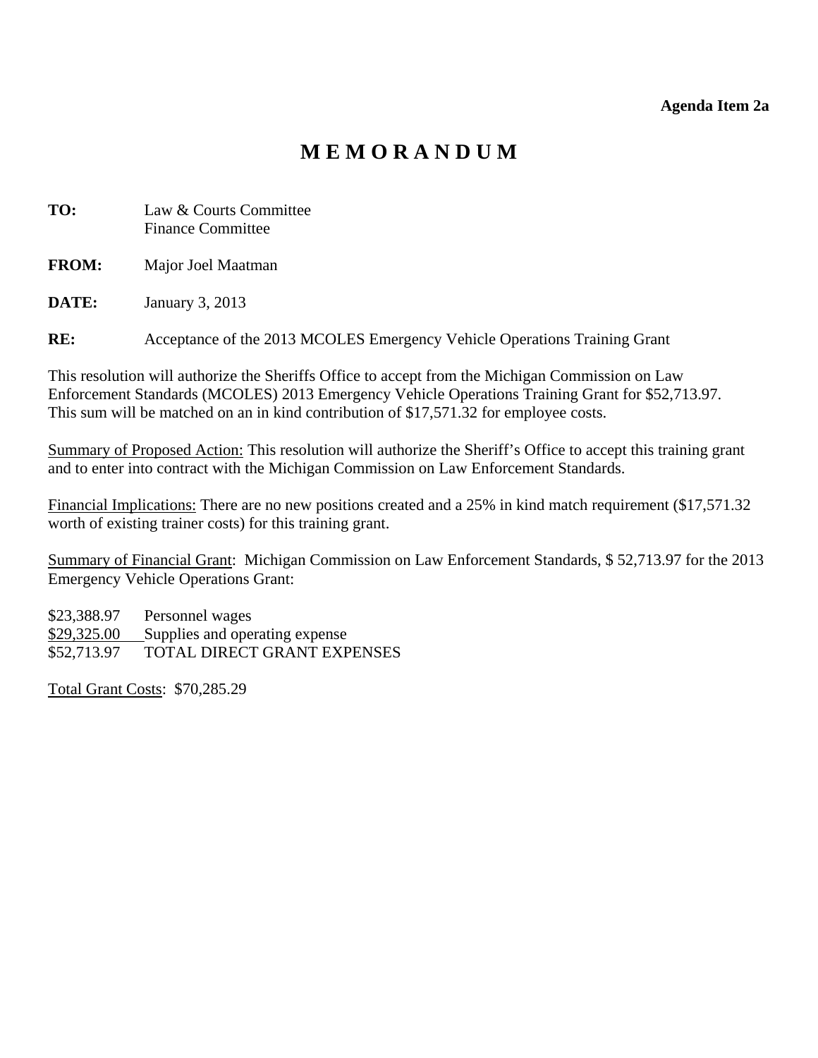#### **Agenda Item 2a**

# **M E M O R A N D U M**

- <span id="page-12-0"></span>**TO:** Law & Courts Committee Finance Committee
- **FROM:** Major Joel Maatman

**DATE:** January 3, 2013

**RE:** Acceptance of the 2013 MCOLES Emergency Vehicle Operations Training Grant

This resolution will authorize the Sheriffs Office to accept from the Michigan Commission on Law Enforcement Standards (MCOLES) 2013 Emergency Vehicle Operations Training Grant for \$52,713.97. This sum will be matched on an in kind contribution of \$17,571.32 for employee costs.

Summary of Proposed Action: This resolution will authorize the Sheriff's Office to accept this training grant and to enter into contract with the Michigan Commission on Law Enforcement Standards.

Financial Implications: There are no new positions created and a 25% in kind match requirement (\$17,571.32) worth of existing trainer costs) for this training grant.

Summary of Financial Grant: Michigan Commission on Law Enforcement Standards, \$ 52,713.97 for the 2013 Emergency Vehicle Operations Grant:

\$23,388.97 Personnel wages \$29,325.00 Supplies and operating expense \$52,713.97 TOTAL DIRECT GRANT EXPENSES

Total Grant Costs: \$70,285.29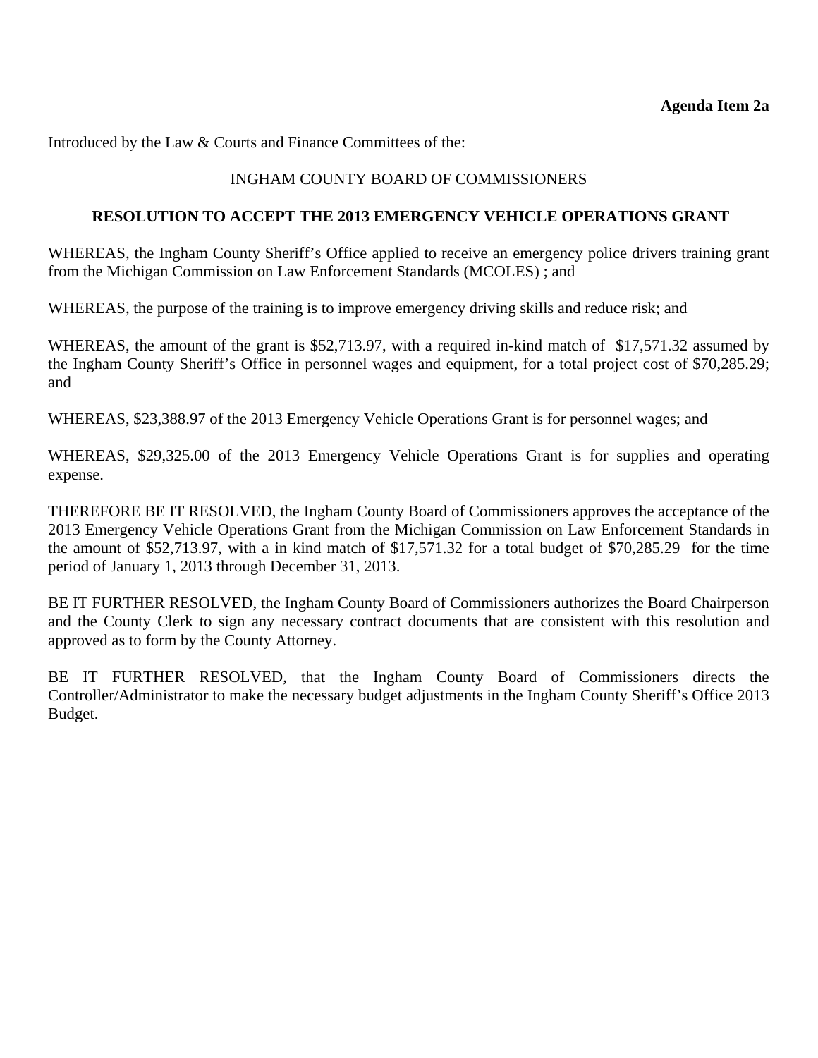Introduced by the Law & Courts and Finance Committees of the:

# INGHAM COUNTY BOARD OF COMMISSIONERS

#### **RESOLUTION TO ACCEPT THE 2013 EMERGENCY VEHICLE OPERATIONS GRANT**

WHEREAS, the Ingham County Sheriff's Office applied to receive an emergency police drivers training grant from the Michigan Commission on Law Enforcement Standards (MCOLES) ; and

WHEREAS, the purpose of the training is to improve emergency driving skills and reduce risk; and

WHEREAS, the amount of the grant is \$52,713.97, with a required in-kind match of \$17,571.32 assumed by the Ingham County Sheriff's Office in personnel wages and equipment, for a total project cost of \$70,285.29; and

WHEREAS, \$23,388.97 of the 2013 Emergency Vehicle Operations Grant is for personnel wages; and

WHEREAS, \$29,325.00 of the 2013 Emergency Vehicle Operations Grant is for supplies and operating expense.

THEREFORE BE IT RESOLVED, the Ingham County Board of Commissioners approves the acceptance of the 2013 Emergency Vehicle Operations Grant from the Michigan Commission on Law Enforcement Standards in the amount of \$52,713.97, with a in kind match of \$17,571.32 for a total budget of \$70,285.29 for the time period of January 1, 2013 through December 31, 2013.

BE IT FURTHER RESOLVED, the Ingham County Board of Commissioners authorizes the Board Chairperson and the County Clerk to sign any necessary contract documents that are consistent with this resolution and approved as to form by the County Attorney.

BE IT FURTHER RESOLVED, that the Ingham County Board of Commissioners directs the Controller/Administrator to make the necessary budget adjustments in the Ingham County Sheriff's Office 2013 Budget.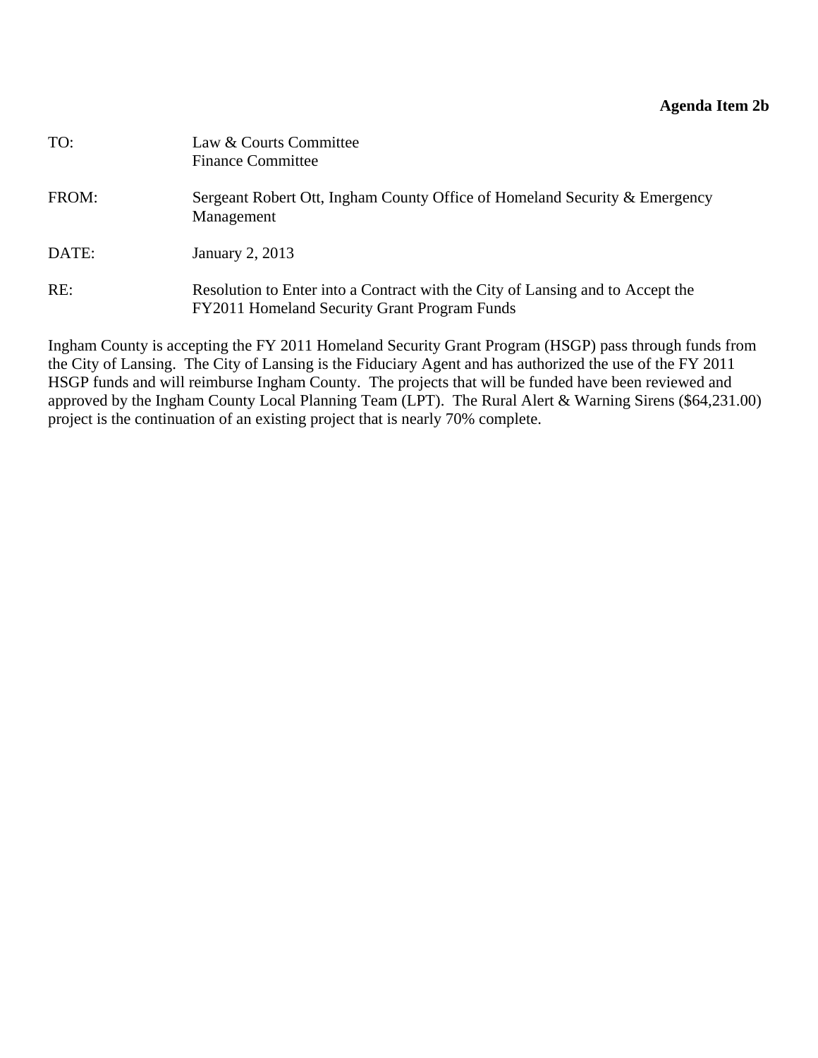## **Agenda Item 2b**

<span id="page-14-0"></span>

| TO:   | Law & Courts Committee<br><b>Finance Committee</b>                                                                             |
|-------|--------------------------------------------------------------------------------------------------------------------------------|
| FROM: | Sergeant Robert Ott, Ingham County Office of Homeland Security & Emergency<br>Management                                       |
| DATE: | January 2, 2013                                                                                                                |
| RE:   | Resolution to Enter into a Contract with the City of Lansing and to Accept the<br>FY2011 Homeland Security Grant Program Funds |

Ingham County is accepting the FY 2011 Homeland Security Grant Program (HSGP) pass through funds from the City of Lansing. The City of Lansing is the Fiduciary Agent and has authorized the use of the FY 2011 HSGP funds and will reimburse Ingham County. The projects that will be funded have been reviewed and approved by the Ingham County Local Planning Team (LPT). The Rural Alert & Warning Sirens (\$64,231.00) project is the continuation of an existing project that is nearly 70% complete.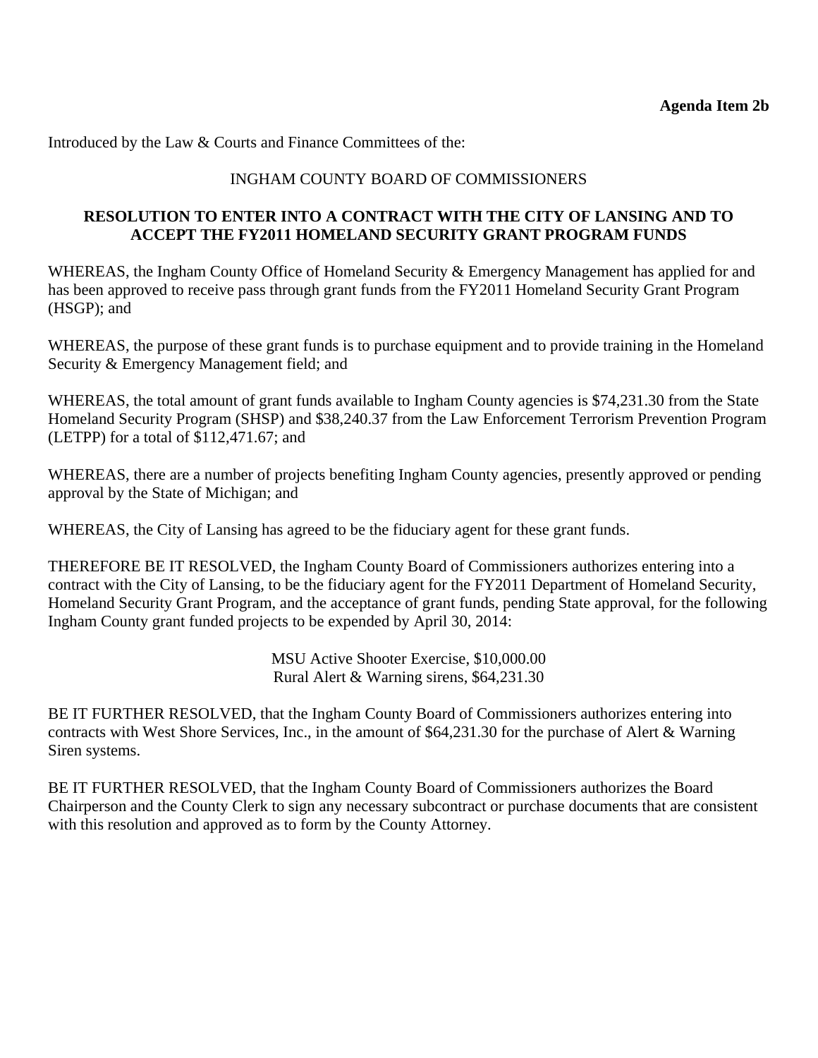Introduced by the Law & Courts and Finance Committees of the:

#### INGHAM COUNTY BOARD OF COMMISSIONERS

#### **RESOLUTION TO ENTER INTO A CONTRACT WITH THE CITY OF LANSING AND TO ACCEPT THE FY2011 HOMELAND SECURITY GRANT PROGRAM FUNDS**

WHEREAS, the Ingham County Office of Homeland Security & Emergency Management has applied for and has been approved to receive pass through grant funds from the FY2011 Homeland Security Grant Program (HSGP); and

WHEREAS, the purpose of these grant funds is to purchase equipment and to provide training in the Homeland Security & Emergency Management field; and

WHEREAS, the total amount of grant funds available to Ingham County agencies is \$74,231.30 from the State Homeland Security Program (SHSP) and \$38,240.37 from the Law Enforcement Terrorism Prevention Program (LETPP) for a total of \$112,471.67; and

WHEREAS, there are a number of projects benefiting Ingham County agencies, presently approved or pending approval by the State of Michigan; and

WHEREAS, the City of Lansing has agreed to be the fiduciary agent for these grant funds.

THEREFORE BE IT RESOLVED, the Ingham County Board of Commissioners authorizes entering into a contract with the City of Lansing, to be the fiduciary agent for the FY2011 Department of Homeland Security, Homeland Security Grant Program, and the acceptance of grant funds, pending State approval, for the following Ingham County grant funded projects to be expended by April 30, 2014:

> MSU Active Shooter Exercise, \$10,000.00 Rural Alert & Warning sirens, \$64,231.30

BE IT FURTHER RESOLVED, that the Ingham County Board of Commissioners authorizes entering into contracts with West Shore Services, Inc., in the amount of \$64,231.30 for the purchase of Alert & Warning Siren systems.

BE IT FURTHER RESOLVED, that the Ingham County Board of Commissioners authorizes the Board Chairperson and the County Clerk to sign any necessary subcontract or purchase documents that are consistent with this resolution and approved as to form by the County Attorney.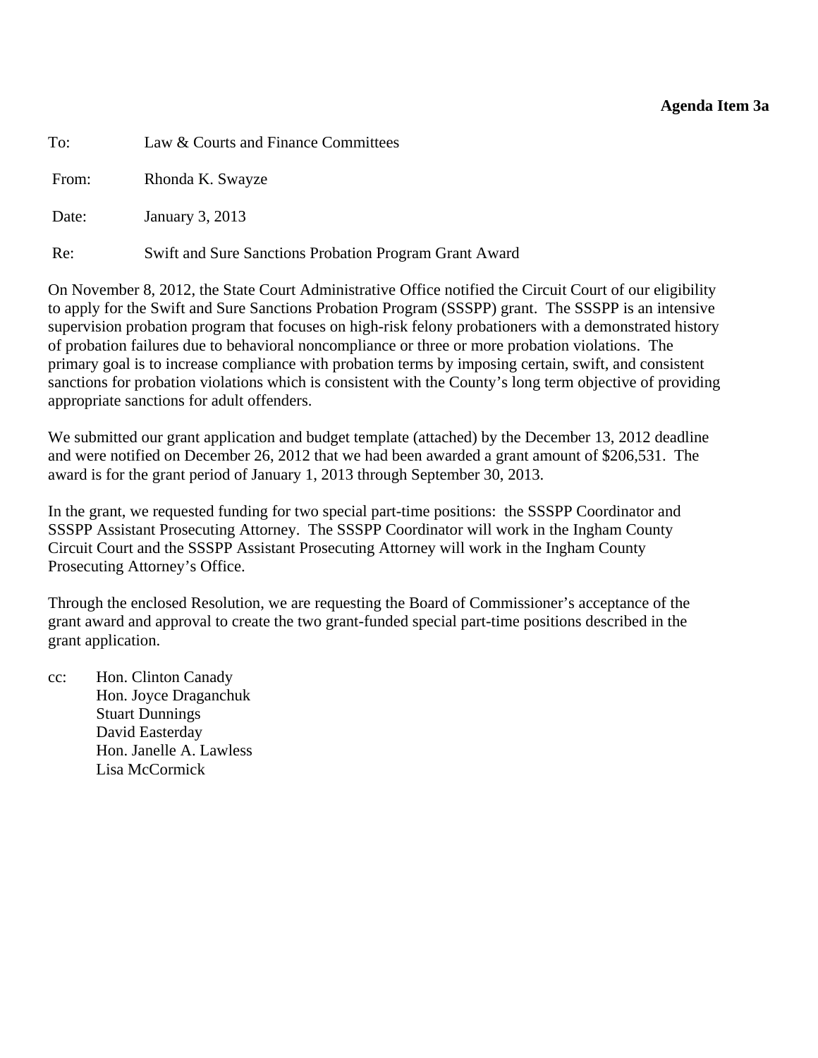#### **Agenda Item 3a**

<span id="page-16-0"></span>To: Law & Courts and Finance Committees

From: Rhonda K. Swayze

Date: January 3, 2013

Re: Swift and Sure Sanctions Probation Program Grant Award

On November 8, 2012, the State Court Administrative Office notified the Circuit Court of our eligibility to apply for the Swift and Sure Sanctions Probation Program (SSSPP) grant. The SSSPP is an intensive supervision probation program that focuses on high-risk felony probationers with a demonstrated history of probation failures due to behavioral noncompliance or three or more probation violations. The primary goal is to increase compliance with probation terms by imposing certain, swift, and consistent sanctions for probation violations which is consistent with the County's long term objective of providing appropriate sanctions for adult offenders.

We submitted our grant application and budget template (attached) by the December 13, 2012 deadline and were notified on December 26, 2012 that we had been awarded a grant amount of \$206,531. The award is for the grant period of January 1, 2013 through September 30, 2013.

In the grant, we requested funding for two special part-time positions: the SSSPP Coordinator and SSSPP Assistant Prosecuting Attorney. The SSSPP Coordinator will work in the Ingham County Circuit Court and the SSSPP Assistant Prosecuting Attorney will work in the Ingham County Prosecuting Attorney's Office.

Through the enclosed Resolution, we are requesting the Board of Commissioner's acceptance of the grant award and approval to create the two grant-funded special part-time positions described in the grant application.

cc: Hon. Clinton Canady Hon. Joyce Draganchuk Stuart Dunnings David Easterday Hon. Janelle A. Lawless Lisa McCormick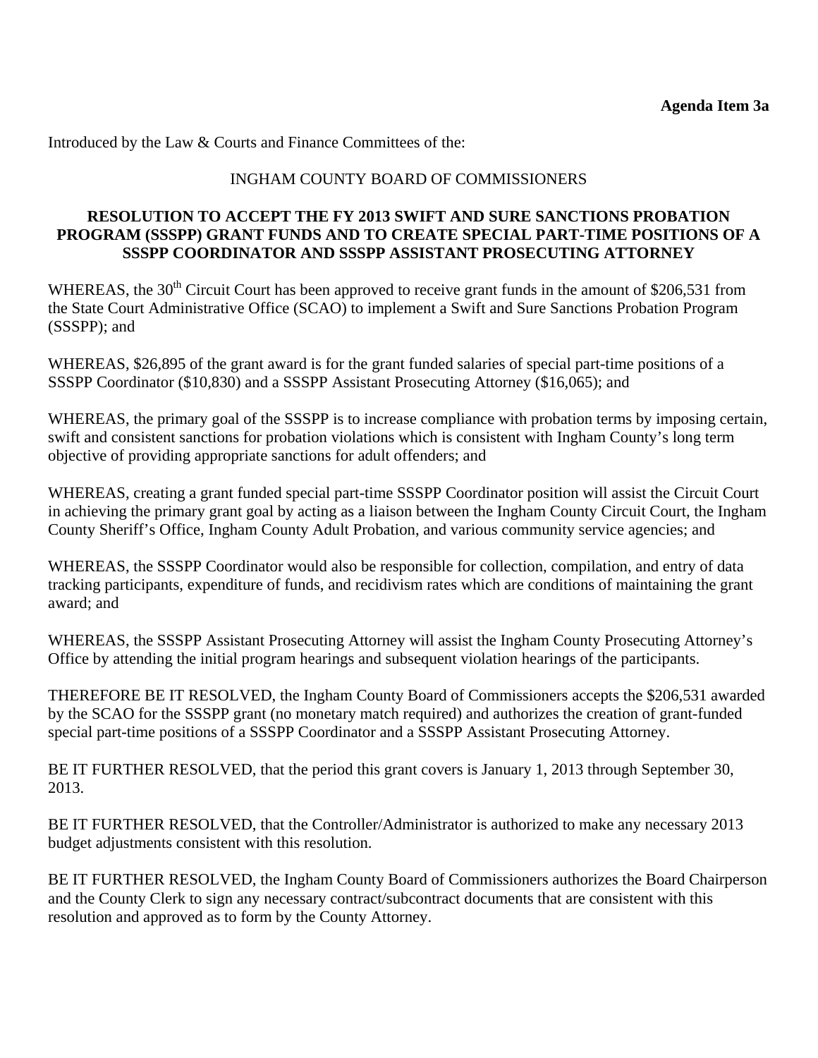Introduced by the Law & Courts and Finance Committees of the:

## INGHAM COUNTY BOARD OF COMMISSIONERS

#### **RESOLUTION TO ACCEPT THE FY 2013 SWIFT AND SURE SANCTIONS PROBATION PROGRAM (SSSPP) GRANT FUNDS AND TO CREATE SPECIAL PART-TIME POSITIONS OF A SSSPP COORDINATOR AND SSSPP ASSISTANT PROSECUTING ATTORNEY**

WHEREAS, the 30<sup>th</sup> Circuit Court has been approved to receive grant funds in the amount of \$206,531 from the State Court Administrative Office (SCAO) to implement a Swift and Sure Sanctions Probation Program (SSSPP); and

WHEREAS, \$26,895 of the grant award is for the grant funded salaries of special part-time positions of a SSSPP Coordinator (\$10,830) and a SSSPP Assistant Prosecuting Attorney (\$16,065); and

WHEREAS, the primary goal of the SSSPP is to increase compliance with probation terms by imposing certain, swift and consistent sanctions for probation violations which is consistent with Ingham County's long term objective of providing appropriate sanctions for adult offenders; and

WHEREAS, creating a grant funded special part-time SSSPP Coordinator position will assist the Circuit Court in achieving the primary grant goal by acting as a liaison between the Ingham County Circuit Court, the Ingham County Sheriff's Office, Ingham County Adult Probation, and various community service agencies; and

WHEREAS, the SSSPP Coordinator would also be responsible for collection, compilation, and entry of data tracking participants, expenditure of funds, and recidivism rates which are conditions of maintaining the grant award; and

WHEREAS, the SSSPP Assistant Prosecuting Attorney will assist the Ingham County Prosecuting Attorney's Office by attending the initial program hearings and subsequent violation hearings of the participants.

THEREFORE BE IT RESOLVED, the Ingham County Board of Commissioners accepts the \$206,531 awarded by the SCAO for the SSSPP grant (no monetary match required) and authorizes the creation of grant-funded special part-time positions of a SSSPP Coordinator and a SSSPP Assistant Prosecuting Attorney.

BE IT FURTHER RESOLVED, that the period this grant covers is January 1, 2013 through September 30, 2013.

BE IT FURTHER RESOLVED, that the Controller/Administrator is authorized to make any necessary 2013 budget adjustments consistent with this resolution.

BE IT FURTHER RESOLVED, the Ingham County Board of Commissioners authorizes the Board Chairperson and the County Clerk to sign any necessary contract/subcontract documents that are consistent with this resolution and approved as to form by the County Attorney.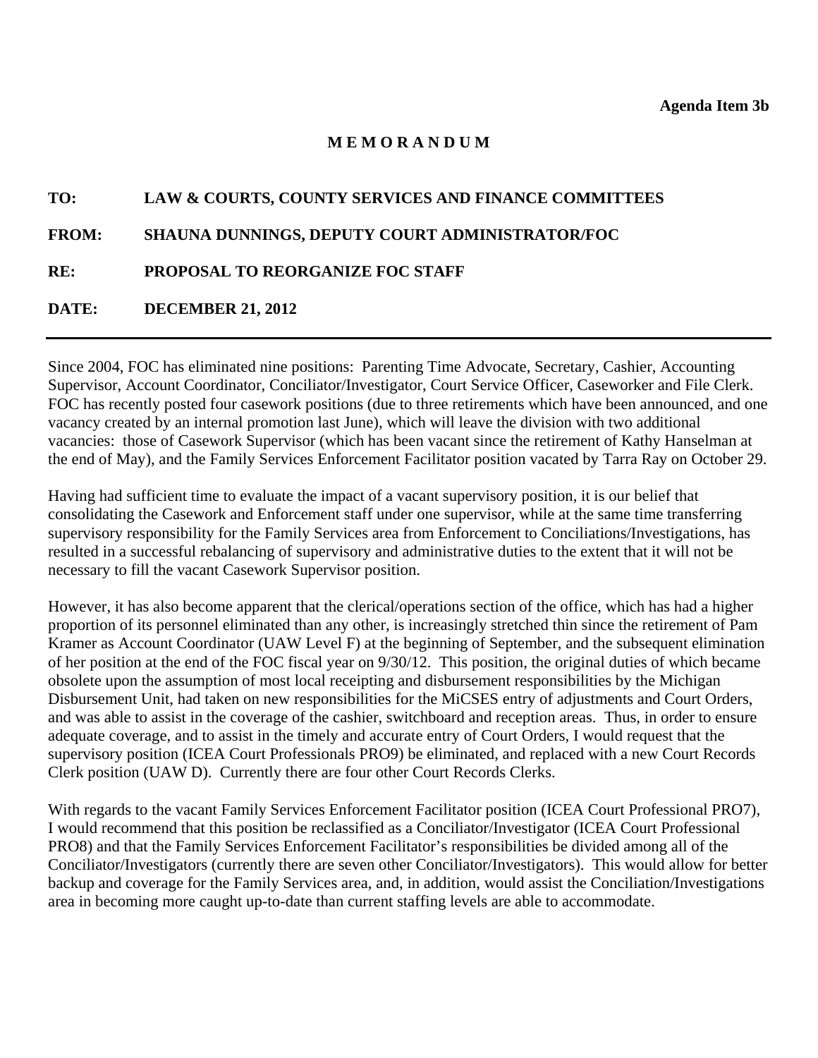# **M E M O R A N D U M**

# <span id="page-18-0"></span>**TO: LAW & COURTS, COUNTY SERVICES AND FINANCE COMMITTEES**

#### **FROM: SHAUNA DUNNINGS, DEPUTY COURT ADMINISTRATOR/FOC**

**RE: PROPOSAL TO REORGANIZE FOC STAFF** 

#### **DATE: DECEMBER 21, 2012**

Since 2004, FOC has eliminated nine positions: Parenting Time Advocate, Secretary, Cashier, Accounting Supervisor, Account Coordinator, Conciliator/Investigator, Court Service Officer, Caseworker and File Clerk. FOC has recently posted four casework positions (due to three retirements which have been announced, and one vacancy created by an internal promotion last June), which will leave the division with two additional vacancies: those of Casework Supervisor (which has been vacant since the retirement of Kathy Hanselman at the end of May), and the Family Services Enforcement Facilitator position vacated by Tarra Ray on October 29.

Having had sufficient time to evaluate the impact of a vacant supervisory position, it is our belief that consolidating the Casework and Enforcement staff under one supervisor, while at the same time transferring supervisory responsibility for the Family Services area from Enforcement to Conciliations/Investigations, has resulted in a successful rebalancing of supervisory and administrative duties to the extent that it will not be necessary to fill the vacant Casework Supervisor position.

However, it has also become apparent that the clerical/operations section of the office, which has had a higher proportion of its personnel eliminated than any other, is increasingly stretched thin since the retirement of Pam Kramer as Account Coordinator (UAW Level F) at the beginning of September, and the subsequent elimination of her position at the end of the FOC fiscal year on 9/30/12. This position, the original duties of which became obsolete upon the assumption of most local receipting and disbursement responsibilities by the Michigan Disbursement Unit, had taken on new responsibilities for the MiCSES entry of adjustments and Court Orders, and was able to assist in the coverage of the cashier, switchboard and reception areas. Thus, in order to ensure adequate coverage, and to assist in the timely and accurate entry of Court Orders, I would request that the supervisory position (ICEA Court Professionals PRO9) be eliminated, and replaced with a new Court Records Clerk position (UAW D). Currently there are four other Court Records Clerks.

With regards to the vacant Family Services Enforcement Facilitator position (ICEA Court Professional PRO7), I would recommend that this position be reclassified as a Conciliator/Investigator (ICEA Court Professional PRO8) and that the Family Services Enforcement Facilitator's responsibilities be divided among all of the Conciliator/Investigators (currently there are seven other Conciliator/Investigators). This would allow for better backup and coverage for the Family Services area, and, in addition, would assist the Conciliation/Investigations area in becoming more caught up-to-date than current staffing levels are able to accommodate.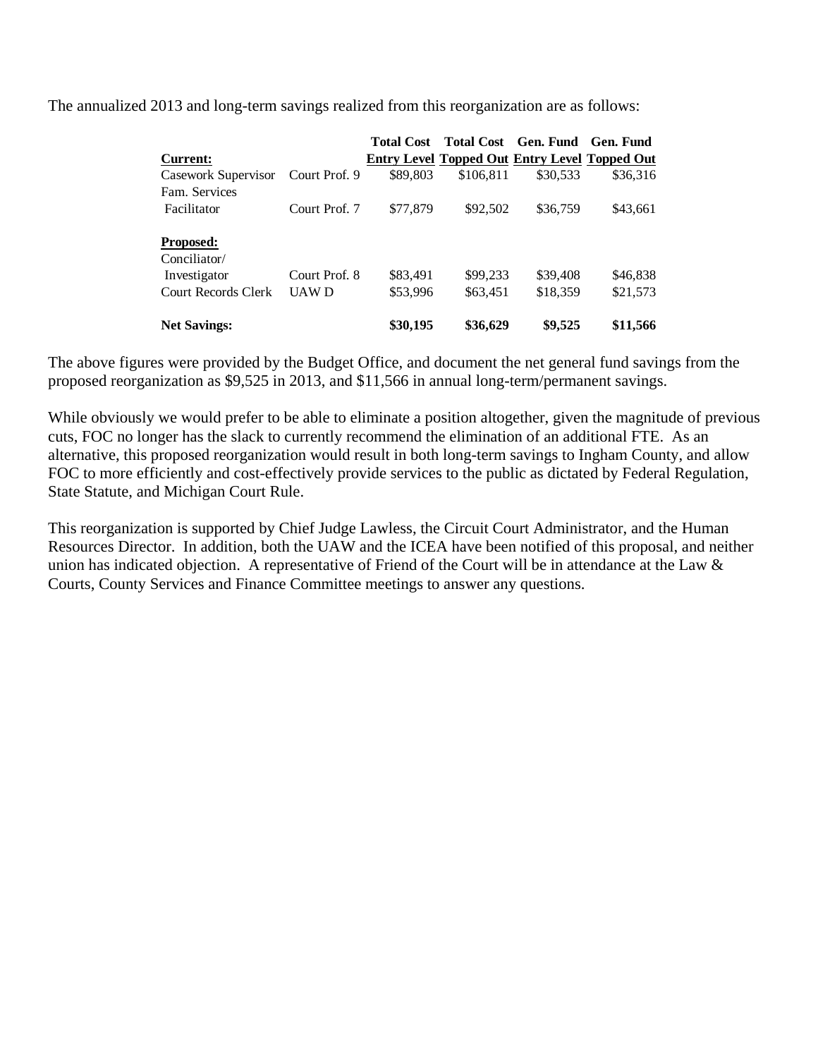The annualized 2013 and long-term savings realized from this reorganization are as follows:

|                     |               | <b>Total Cost</b> |                                                      | Total Cost Gen. Fund Gen. Fund |          |
|---------------------|---------------|-------------------|------------------------------------------------------|--------------------------------|----------|
| Current:            |               |                   | <b>Entry Level Topped Out Entry Level Topped Out</b> |                                |          |
| Casework Supervisor | Court Prof. 9 | \$89,803          | \$106,811                                            | \$30,533                       | \$36,316 |
| Fam. Services       |               |                   |                                                      |                                |          |
| Facilitator         | Court Prof. 7 | \$77,879          | \$92,502                                             | \$36,759                       | \$43,661 |
| <b>Proposed:</b>    |               |                   |                                                      |                                |          |
| Conciliator/        |               |                   |                                                      |                                |          |
| Investigator        | Court Prof. 8 | \$83,491          | \$99,233                                             | \$39,408                       | \$46,838 |
| Court Records Clerk | <b>UAWD</b>   | \$53,996          | \$63,451                                             | \$18,359                       | \$21,573 |
| <b>Net Savings:</b> |               | \$30,195          | \$36,629                                             | \$9,525                        | \$11,566 |

The above figures were provided by the Budget Office, and document the net general fund savings from the proposed reorganization as \$9,525 in 2013, and \$11,566 in annual long-term/permanent savings.

While obviously we would prefer to be able to eliminate a position altogether, given the magnitude of previous cuts, FOC no longer has the slack to currently recommend the elimination of an additional FTE. As an alternative, this proposed reorganization would result in both long-term savings to Ingham County, and allow FOC to more efficiently and cost-effectively provide services to the public as dictated by Federal Regulation, State Statute, and Michigan Court Rule.

This reorganization is supported by Chief Judge Lawless, the Circuit Court Administrator, and the Human Resources Director. In addition, both the UAW and the ICEA have been notified of this proposal, and neither union has indicated objection. A representative of Friend of the Court will be in attendance at the Law & Courts, County Services and Finance Committee meetings to answer any questions.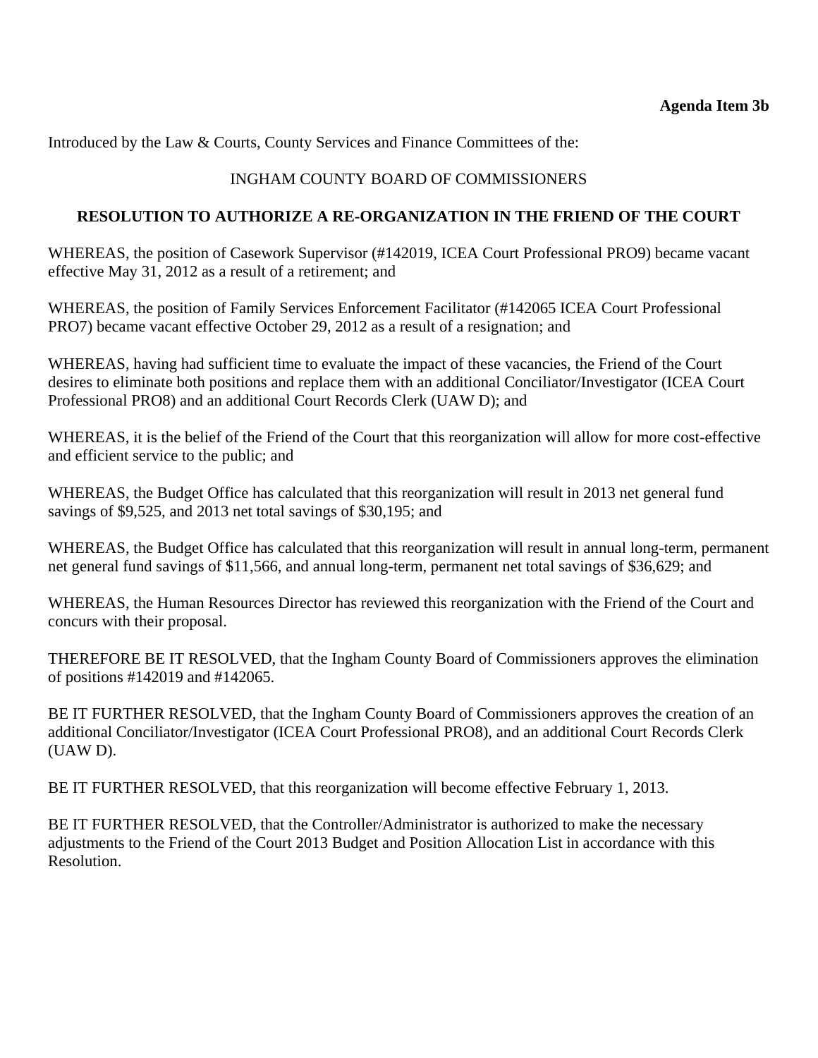Introduced by the Law & Courts, County Services and Finance Committees of the:

# INGHAM COUNTY BOARD OF COMMISSIONERS

## **RESOLUTION TO AUTHORIZE A RE-ORGANIZATION IN THE FRIEND OF THE COURT**

WHEREAS, the position of Casework Supervisor (#142019, ICEA Court Professional PRO9) became vacant effective May 31, 2012 as a result of a retirement; and

WHEREAS, the position of Family Services Enforcement Facilitator (#142065 ICEA Court Professional PRO7) became vacant effective October 29, 2012 as a result of a resignation; and

WHEREAS, having had sufficient time to evaluate the impact of these vacancies, the Friend of the Court desires to eliminate both positions and replace them with an additional Conciliator/Investigator (ICEA Court Professional PRO8) and an additional Court Records Clerk (UAW D); and

WHEREAS, it is the belief of the Friend of the Court that this reorganization will allow for more cost-effective and efficient service to the public; and

WHEREAS, the Budget Office has calculated that this reorganization will result in 2013 net general fund savings of \$9,525, and 2013 net total savings of \$30,195; and

WHEREAS, the Budget Office has calculated that this reorganization will result in annual long-term, permanent net general fund savings of \$11,566, and annual long-term, permanent net total savings of \$36,629; and

WHEREAS, the Human Resources Director has reviewed this reorganization with the Friend of the Court and concurs with their proposal.

THEREFORE BE IT RESOLVED, that the Ingham County Board of Commissioners approves the elimination of positions #142019 and #142065.

BE IT FURTHER RESOLVED, that the Ingham County Board of Commissioners approves the creation of an additional Conciliator/Investigator (ICEA Court Professional PRO8), and an additional Court Records Clerk (UAW D).

BE IT FURTHER RESOLVED, that this reorganization will become effective February 1, 2013.

BE IT FURTHER RESOLVED, that the Controller/Administrator is authorized to make the necessary adjustments to the Friend of the Court 2013 Budget and Position Allocation List in accordance with this Resolution.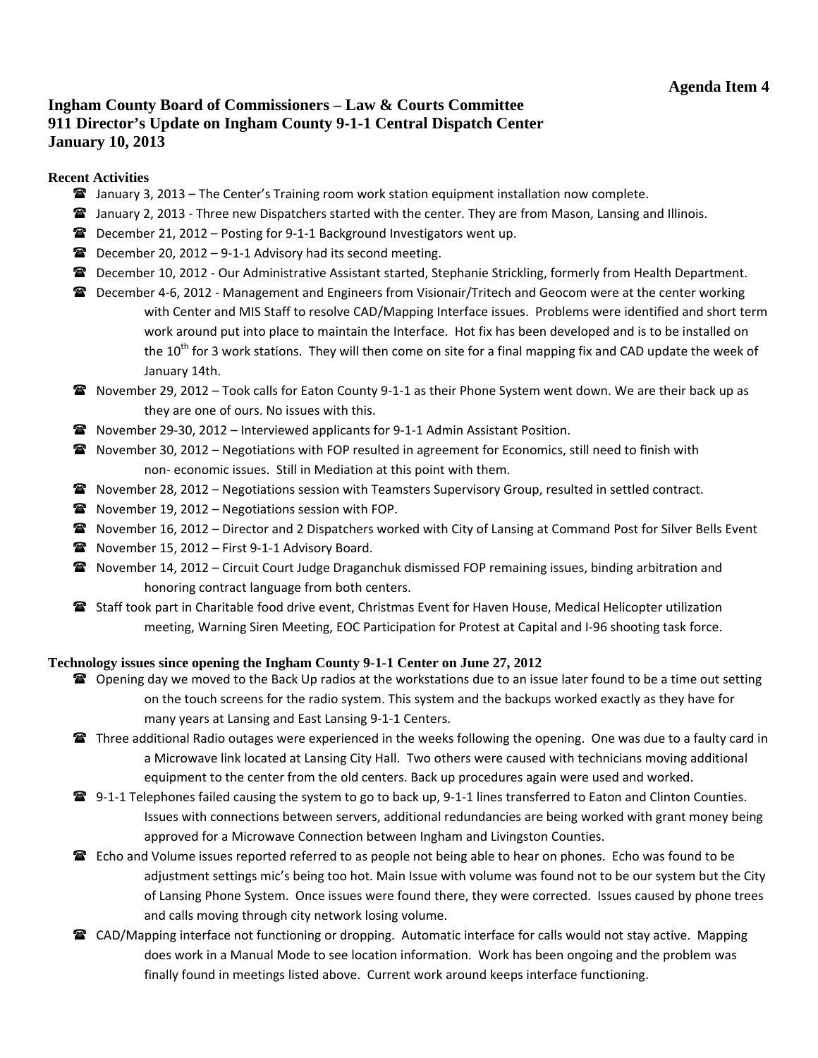# <span id="page-21-0"></span>**Ingham County Board of Commissioners – Law & Courts Committee 911 Director's Update on Ingham County 9-1-1 Central Dispatch Center January 10, 2013**

#### **Recent Activities**

- $\mathbf{\hat{x}}$  January 3, 2013 The Center's Training room work station equipment installation now complete.
- **The Stanuary 2, 2013 Three new Dispatchers started with the center. They are from Mason, Lansing and Illinois.**
- December 21, 2012 Posting for 9‐1‐1 Background Investigators went up.
- $\mathbf{\widehat{m}}$  December 20, 2012 9-1-1 Advisory had its second meeting.
- December 10, 2012 Our Administrative Assistant started, Stephanie Strickling, formerly from Health Department.
- **■** December 4-6, 2012 Management and Engineers from Visionair/Tritech and Geocom were at the center working with Center and MIS Staff to resolve CAD/Mapping Interface issues. Problems were identified and short term work around put into place to maintain the Interface. Hot fix has been developed and is to be installed on the  $10^{th}$  for 3 work stations. They will then come on site for a final mapping fix and CAD update the week of January 14th.
- November 29, 2012 Took calls for Eaton County 9‐1‐1 as their Phone System went down. We are their back up as they are one of ours. No issues with this.
- November 29‐30, 2012 Interviewed applicants for 9‐1‐1 Admin Assistant Position.
- **The Summan 2008** November 30, 2012 Negotiations with FOP resulted in agreement for Economics, still need to finish with non‐ economic issues. Still in Mediation at this point with them.
- **The Superman 28, 2012 Negotiations session with Teamsters Supervisory Group, resulted in settled contract.**
- $\mathbf{\widehat{m}}$  November 19, 2012 Negotiations session with FOP.
- **a** November 16, 2012 Director and 2 Dispatchers worked with City of Lansing at Command Post for Silver Bells Event
- November 15, 2012 First 9-1-1 Advisory Board.
- **a** November 14, 2012 Circuit Court Judge Draganchuk dismissed FOP remaining issues, binding arbitration and honoring contract language from both centers.
- Staff took part in Charitable food drive event, Christmas Event for Haven House, Medical Helicopter utilization meeting, Warning Siren Meeting, EOC Participation for Protest at Capital and I‐96 shooting task force.

#### **Technology issues since opening the Ingham County 9-1-1 Center on June 27, 2012**

- **The Summan day we moved to the Back Up radios at the workstations due to an issue later found to be a time out setting** on the touch screens for the radio system. This system and the backups worked exactly as they have for many years at Lansing and East Lansing 9‐1‐1 Centers.
- **Three additional Radio outages were experienced in the weeks following the opening. One was due to a faulty card in** a Microwave link located at Lansing City Hall. Two others were caused with technicians moving additional equipment to the center from the old centers. Back up procedures again were used and worked.
- **■** 9-1-1 Telephones failed causing the system to go to back up, 9-1-1 lines transferred to Eaton and Clinton Counties. Issues with connections between servers, additional redundancies are being worked with grant money being approved for a Microwave Connection between Ingham and Livingston Counties.
- **E** Echo and Volume issues reported referred to as people not being able to hear on phones. Echo was found to be adjustment settings mic's being too hot. Main Issue with volume was found not to be our system but the City of Lansing Phone System. Once issues were found there, they were corrected. Issues caused by phone trees and calls moving through city network losing volume.
- **■** CAD/Mapping interface not functioning or dropping. Automatic interface for calls would not stay active. Mapping does work in a Manual Mode to see location information. Work has been ongoing and the problem was finally found in meetings listed above. Current work around keeps interface functioning.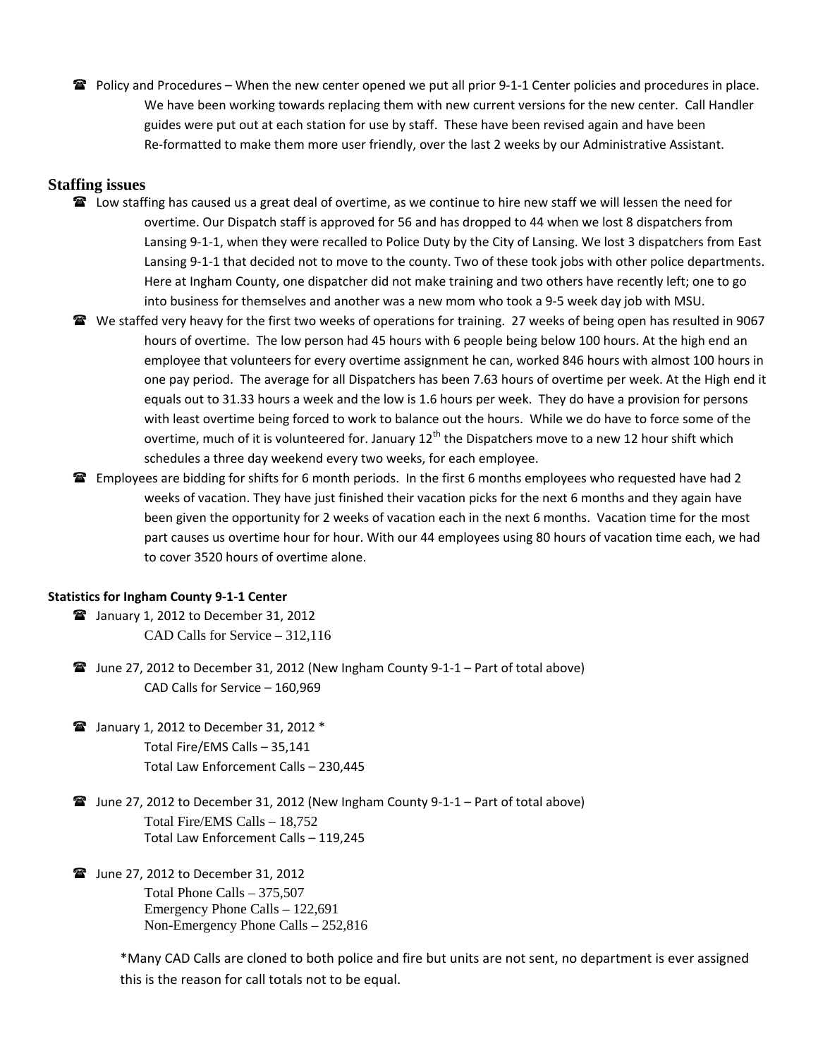Policy and Procedures – When the new center opened we put all prior 9‐1‐1 Center policies and procedures in place. We have been working towards replacing them with new current versions for the new center. Call Handler guides were put out at each station for use by staff. These have been revised again and have been Re-formatted to make them more user friendly, over the last 2 weeks by our Administrative Assistant.

#### **Staffing issues**

- **■** Low staffing has caused us a great deal of overtime, as we continue to hire new staff we will lessen the need for overtime. Our Dispatch staff is approved for 56 and has dropped to 44 when we lost 8 dispatchers from Lansing 9‐1‐1, when they were recalled to Police Duty by the City of Lansing. We lost 3 dispatchers from East Lansing 9‐1‐1 that decided not to move to the county. Two of these took jobs with other police departments. Here at Ingham County, one dispatcher did not make training and two others have recently left; one to go into business for themselves and another was a new mom who took a 9‐5 week day job with MSU.
- **The Staffed very heavy for the first two weeks of operations for training. 27 weeks of being open has resulted in 9067** hours of overtime. The low person had 45 hours with 6 people being below 100 hours. At the high end an employee that volunteers for every overtime assignment he can, worked 846 hours with almost 100 hours in one pay period. The average for all Dispatchers has been 7.63 hours of overtime per week. At the High end it equals out to 31.33 hours a week and the low is 1.6 hours per week. They do have a provision for persons with least overtime being forced to work to balance out the hours. While we do have to force some of the overtime, much of it is volunteered for. January 12<sup>th</sup> the Dispatchers move to a new 12 hour shift which schedules a three day weekend every two weeks, for each employee.
- **Employees are bidding for shifts for 6 month periods.** In the first 6 months employees who requested have had 2 weeks of vacation. They have just finished their vacation picks for the next 6 months and they again have been given the opportunity for 2 weeks of vacation each in the next 6 months. Vacation time for the most part causes us overtime hour for hour. With our 44 employees using 80 hours of vacation time each, we had to cover 3520 hours of overtime alone.

#### **Statistics for Ingham County 9‐1‐1 Center**

- January 1, 2012 to December 31, 2012 CAD Calls for Service – 312,116
- $\hat{P}$  June 27, 2012 to December 31, 2012 (New Ingham County 9-1-1 Part of total above) CAD Calls for Service – 160,969
- $\mathbf{\widehat{m}}$  January 1, 2012 to December 31, 2012  $^*$ Total Fire/EMS Calls – 35,141 Total Law Enforcement Calls – 230,445
- June 27, 2012 to December 31, 2012 (New Ingham County 9‐1‐1 Part of total above) Total Fire/EMS Calls – 18,752 Total Law Enforcement Calls – 119,245
- **■** June 27, 2012 to December 31, 2012 Total Phone Calls – 375,507 Emergency Phone Calls – 122,691 Non-Emergency Phone Calls – 252,816

\*Many CAD Calls are cloned to both police and fire but units are not sent, no department is ever assigned this is the reason for call totals not to be equal.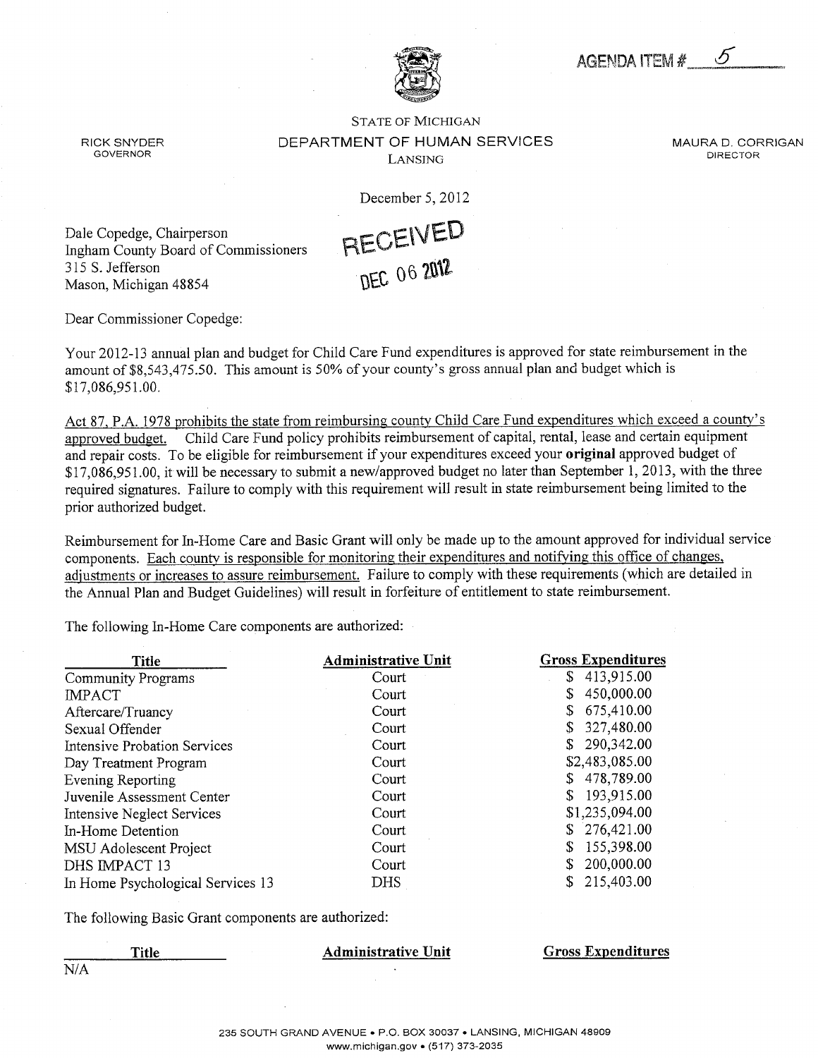AGENDA ITEM #

#### <span id="page-23-0"></span>STATE OF MICHIGAN RICK SNYDER DEPARTMENT OF HUMAN SERVICES MAURA D. CORRIGAN governor Lansing director

December 5, 2012



Dale Copedge, Chairperson Ingham County Board of Commissioners 315 S.Jefferson Mason, Michigan 48854

Dear Commissioner Copedge:

Your 2012-13 annual plan and budget for Child Care Fund expenditures is approved for state reimbursement in the amount of \$8,543,475.50. This amount is 50% of your county's gross annual plan and budget which is \$17,086,951.00.

Act 87, P.A. 1978 prohibits the state from reimbursing county Child Care Fund expenditures which exceed a county's approved budget. Child Care Fund policy prohibits reimbursement of capital, rental, lease and certain equipment and repair costs. To be eligible for reimbursement if your expenditures exceed your original approved budget of  $$17,086,951,00$ , it will be necessary to submit a new/approved budget no later than September 1, 2013, with the three required signatures. Failure to comply with this requirement will result in state reimbursement being limited to the prior authorized budget.

Reimbursement for In-Home Care and Basic Grant will only be made up to the amount approved for individual service components. Each county is responsible for monitoring their expenditures and notifying this office of changes, adjustments or increases to assure reimbursement. Failure to comply with these requirements (which are detailed in the Annual Plan and Budget Guidelines) will result in forfeiture of entitlement to state reimbursement.

The following In-Home Care components are authorized:

| <b>Title</b>                        | <b>Administrative Unit</b> | <b>Gross Expenditures</b> |
|-------------------------------------|----------------------------|---------------------------|
| Community Programs                  | Court                      | 413,915.00<br>\$          |
| <b>IMPACT</b>                       | Court                      | 450,000.00<br>\$          |
| Aftercare/Truancy                   | Court                      | 675,410.00<br>S           |
| Sexual Offender                     | Court                      | 327,480.00<br>\$          |
| <b>Intensive Probation Services</b> | Court                      | 290,342.00<br>\$          |
| Day Treatment Program               | Court                      | \$2,483,085.00            |
| Evening Reporting                   | Court                      | 478,789.00<br>\$          |
| Juvenile Assessment Center          | Court                      | 193,915.00<br>\$          |
| Intensive Neglect Services          | Court                      | \$1,235,094.00            |
| In-Home Detention                   | Court                      | 276,421.00<br>\$          |
| MSU Adolescent Project              | Court                      | 155,398.00<br>S           |
| DHS IMPACT 13                       | Court                      | 200,000.00<br>\$          |
| In Home Psychological Services 13   | <b>DHS</b>                 | 215,403.00<br>\$          |

The following Basic Grant components are authorized:

N/A

Title Administrative Unit Gross Expenditures